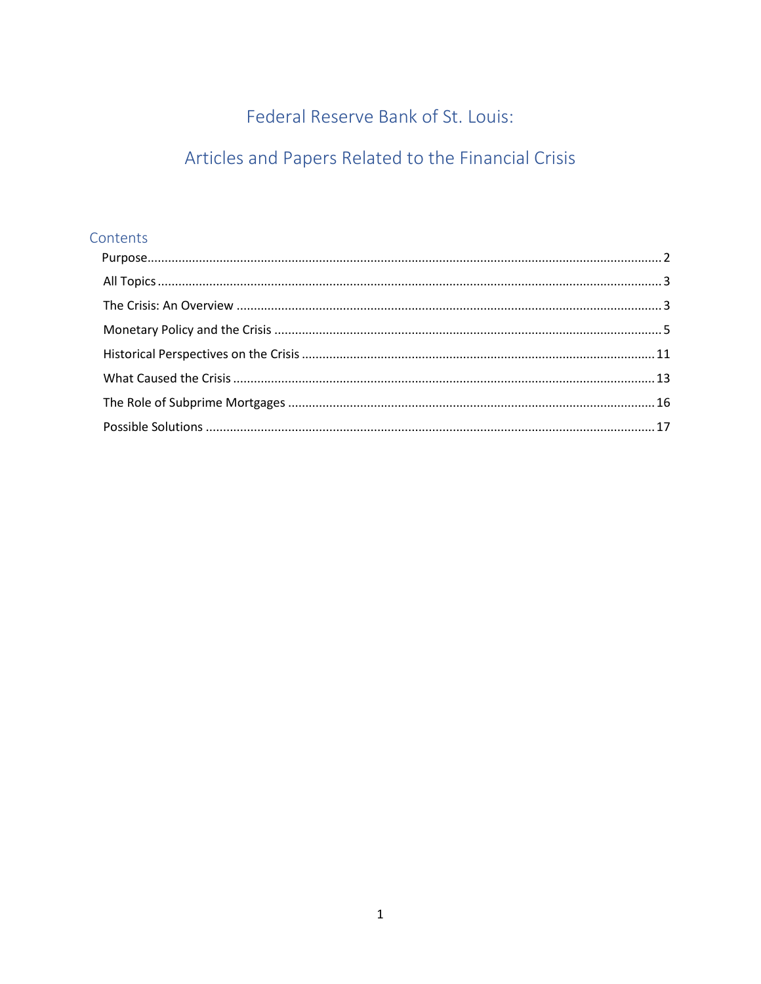Federal Reserve Bank of St. Louis:

# Articles and Papers Related to the Financial Crisis

## Contents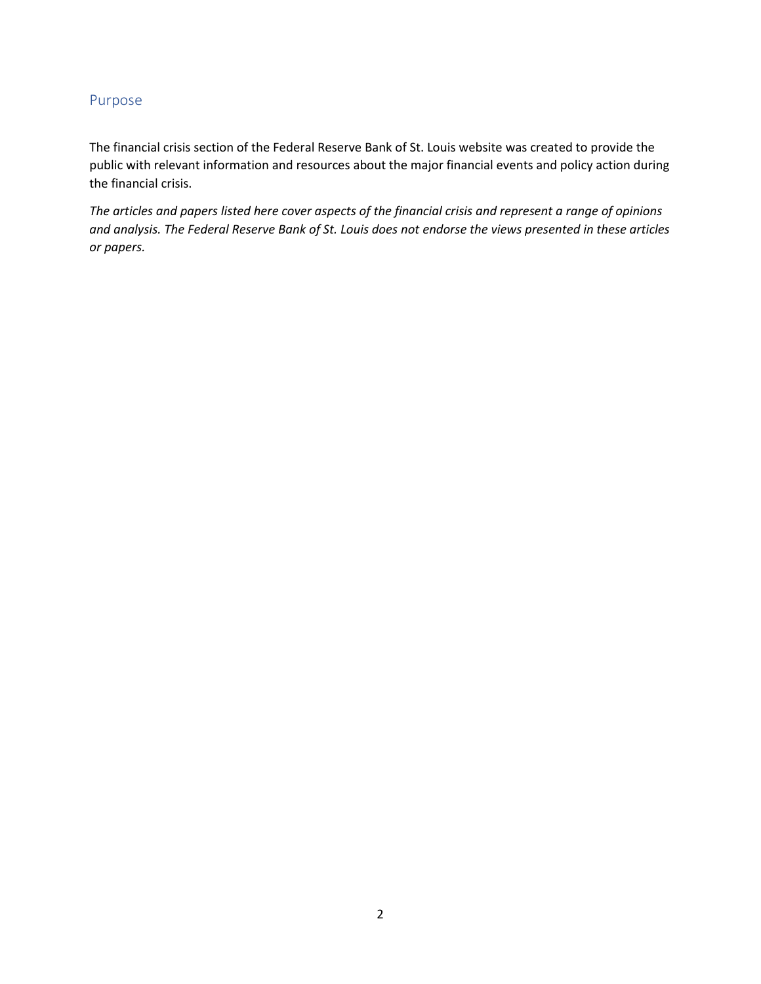## <span id="page-1-0"></span>Purpose

The financial crisis section of the Federal Reserve Bank of St. Louis website was created to provide the public with relevant information and resources about the major financial events and policy action during the financial crisis.

*The articles and papers listed here cover aspects of the financial crisis and represent a range of opinions and analysis. The Federal Reserve Bank of St. Louis does not endorse the views presented in these articles or papers.*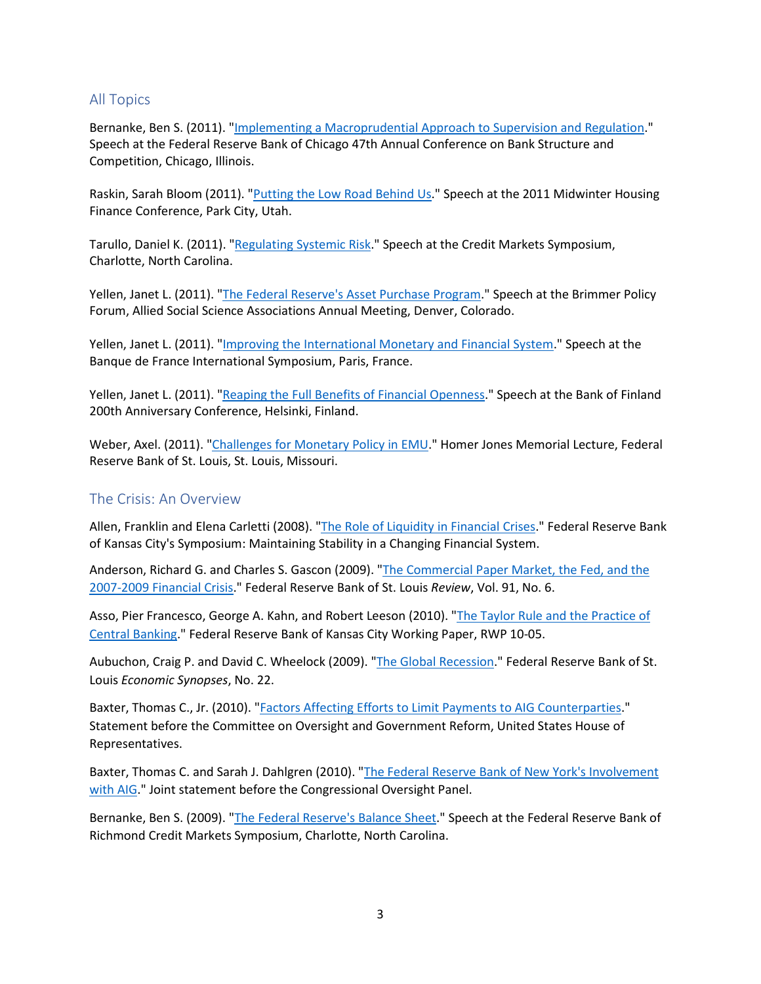## <span id="page-2-0"></span>All Topics

Bernanke, Ben S. (2011). ["Implementing a Macroprudential Approach to Supervision and Regulation.](https://fraser.stlouisfed.org/title/statements-speeches-ben-s-bernanke-453/implementing-a-macroprudential-approach-supervision-regulation-9107)" Speech at the Federal Reserve Bank of Chicago 47th Annual Conference on Bank Structure and Competition, Chicago, Illinois.

Raskin, Sarah Bloom (2011). ["Putting the Low Road Behind Us.](https://fraser.stlouisfed.org/title/statements-speeches-sarah-bloom-raskin-951/putting-low-road-behind-us-37013)" Speech at the 2011 Midwinter Housing Finance Conference, Park City, Utah.

Tarullo, Daniel K. (2011). ["Regulating Systemic Risk.](https://fraser.stlouisfed.org/title/statements-speeches-daniel-k-tarullo-910/regulating-systemic-risk-35358)" Speech at the Credit Markets Symposium, Charlotte, North Carolina.

Yellen, Janet L. (2011). ["The Federal Reserve's Asset Purchase Program.](https://fraser.stlouisfed.org/title/statements-speeches-janet-l-yellen-930/federal-reserve-s-asset-purchase-program-36159)" Speech at the Brimmer Policy Forum, Allied Social Science Associations Annual Meeting, Denver, Colorado.

Yellen, Janet L. (2011). ["Improving the International Monetary and Financial System.](https://fraser.stlouisfed.org/title/statements-speeches-janet-l-yellen-930/improving-international-monetary-financial-system-36171)" Speech at the Banque de France International Symposium, Paris, France.

Yellen, Janet L. (2011). ["Reaping the Full Benefits of Financial Openness.](https://fraser.stlouisfed.org/title/statements-speeches-janet-l-yellen-930/reaping-full-benefits-financial-openness-36173)" Speech at the Bank of Finland 200th Anniversary Conference, Helsinki, Finland.

Weber, Axel. (2011). ["Challenges for Monetary Policy in EMU.](https://www.bundesbank.de/resource/blob/702816/cf9490ca09b0f424a56736ec76c34eae/mL/2011-04-13-weber-challenges-for-monetary-policy-in-emu-download.pdf)" Homer Jones Memorial Lecture, Federal Reserve Bank of St. Louis, St. Louis, Missouri.

#### <span id="page-2-1"></span>The Crisis: An Overview

Allen, Franklin and Elena Carletti (2008). ["The Role of Liquidity in Financial Crises.](https://www.kansascityfed.org/documents/3172/2008-allenandcarletti031209.pdf)" Federal Reserve Bank of Kansas City's Symposium: Maintaining Stability in a Changing Financial System.

Anderson, Richard G. and Charles S. Gascon (2009). ["The Commercial Paper Market, the Fed, and the](https://research.stlouisfed.org/publications/review/2009/11/02/the-commercial-paper-market-the-fed-and-the-2007-2009-financial-crisis)  [2007-2009 Financial Crisis.](https://research.stlouisfed.org/publications/review/2009/11/02/the-commercial-paper-market-the-fed-and-the-2007-2009-financial-crisis)" Federal Reserve Bank of St. Louis *Review*, Vol. 91, No. 6.

Asso, Pier Francesco, George A. Kahn, and Robert Leeson (2010). ["The Taylor Rule and the Practice of](https://www.kansascityfed.org/documents/540/pdf-rwp10-05.pdf)  [Central Banking.](https://www.kansascityfed.org/documents/540/pdf-rwp10-05.pdf)" Federal Reserve Bank of Kansas City Working Paper, RWP 10-05.

Aubuchon, Craig P. and David C. Wheelock (2009). ["The Global Recession.](https://research.stlouisfed.org/publications/economic-synopses/2009/05/05/the-global-recession)" Federal Reserve Bank of St. Louis *Economic Synopses*, No. 22.

Baxter, Thomas C., Jr. (2010). ["Factors Affecting Efforts to Limit Payments to AIG Counterparties.](https://fraser.stlouisfed.org/title/5135?start_page=186)" Statement before the Committee on Oversight and Government Reform, United States House of Representatives.

Baxter, Thomas C. and Sarah J. Dahlgren (2010). ["The Federal Reserve Bank of New York's Involvement](https://fraser.stlouisfed.org/title/4998?start_page=50)  [with AIG.](https://fraser.stlouisfed.org/title/4998?start_page=50)" Joint statement before the Congressional Oversight Panel.

Bernanke, Ben S. (2009). ["The Federal Reserve's Balance Sheet.](https://fraser.stlouisfed.org/title/statements-speeches-ben-s-bernanke-453/federal-reserve-s-balance-sheet-9030)" Speech at the Federal Reserve Bank of Richmond Credit Markets Symposium, Charlotte, North Carolina.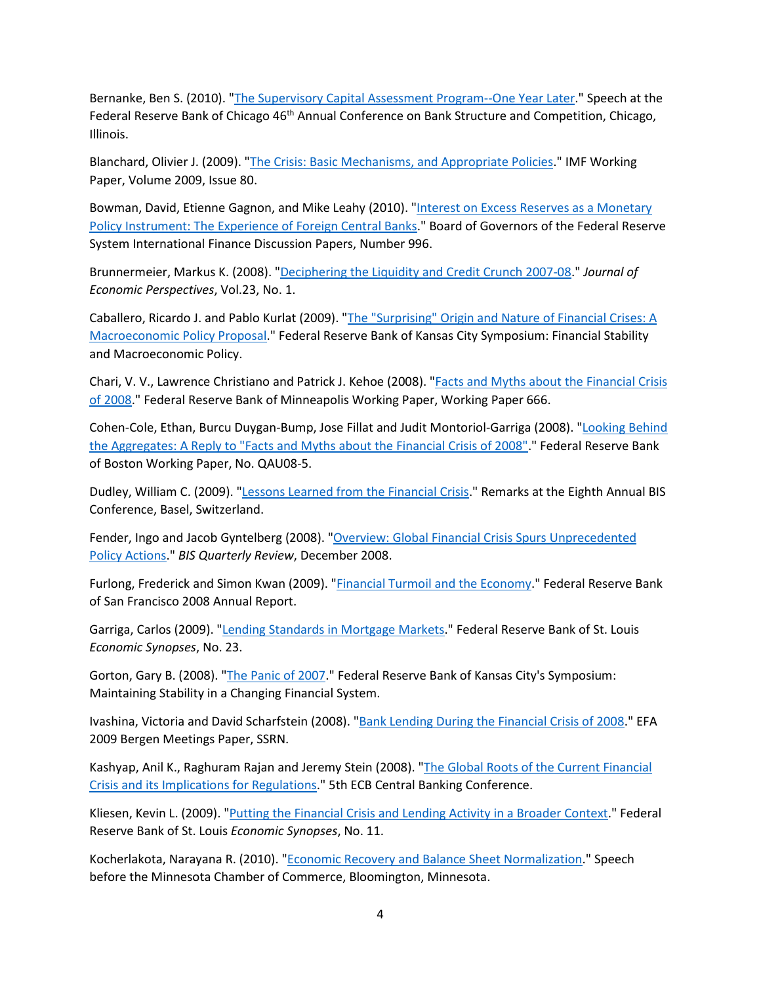Bernanke, Ben S. (2010). ["The Supervisory Capital Assessment Program--One Year Later.](https://fraser.stlouisfed.org/title/statements-speeches-ben-s-bernanke-453/supervisory-capital-assessment-program--one-year-later-9070)" Speech at the Federal Reserve Bank of Chicago 46<sup>th</sup> Annual Conference on Bank Structure and Competition, Chicago, Illinois.

Blanchard, Olivier J. (2009). ["The Crisis: Basic Mechanisms, and Appropriate Policies.](http://www.imf.org/external/pubs/ft/wp/2009/wp0980.pdf)" IMF Working Paper, Volume 2009, Issue 80.

Bowman, David, Etienne Gagnon, and Mike Leahy (2010). "Interest on Excess Reserves as a Monetary [Policy Instrument: The Experience of Foreign Central Banks.](http://www.federalreserve.gov/pubs/ifdp/2010/996/ifdp996.pdf)" Board of Governors of the Federal Reserve System International Finance Discussion Papers, Number 996.

Brunnermeier, Markus K. (2008). ["Deciphering the Liquidity and Credit Crunch 2007-08.](http://www.princeton.edu/%7Emarkus/research/papers/liquidity_credit_crunch.pdf)" *Journal of Economic Perspectives*, Vol.23, No. 1.

Caballero, Ricardo J. and Pablo Kurlat (2009). ["The "Surprising" Origin and Nature of Financial Crises: A](http://www.kansascityfed.org/publicat/sympos/2009/papers/caballeroKurlat.08.24.09.pdf)  [Macroeconomic Policy Proposal.](http://www.kansascityfed.org/publicat/sympos/2009/papers/caballeroKurlat.08.24.09.pdf)" Federal Reserve Bank of Kansas City Symposium: Financial Stability and Macroeconomic Policy.

Chari, V. V., Lawrence Christiano and Patrick J. Kehoe (2008). "Facts and Myths about the Financial Crisis [of 2008.](https://www.minneapolisfed.org/research/working-papers/facts-and-myths-about-the-financial-crisis-of-2008)" Federal Reserve Bank of Minneapolis Working Paper, Working Paper 666.

Cohen-Cole, Ethan, Burcu Duygan-Bump, Jose Fillat and Judit Montoriol-Garriga (2008). ["Looking Behind](http://www.bos.frb.org/bankinfo/qau/wp/2008/qau0805.htm)  [the Aggregates: A Reply to "Facts and Myths about the Financial Crisis of 2008".](http://www.bos.frb.org/bankinfo/qau/wp/2008/qau0805.htm)" Federal Reserve Bank of Boston Working Paper, No. QAU08-5.

Dudley, William C. (2009). ["Lessons Learned from the Financial Crisis.](https://www.newyorkfed.org/newsevents/speeches/2009/dud090702.html)" Remarks at the Eighth Annual BIS Conference, Basel, Switzerland.

Fender, Ingo and Jacob Gyntelberg (2008). "Overview: Global Financial Crisis Spurs Unprecedented [Policy Actions.](http://www.bis.org/publ/qtrpdf/r_qt0812a.pdf)" *BIS Quarterly Review*, December 2008.

Furlong, Frederick and Simon Kwan (2009). ["Financial Turmoil and the Economy.](http://www.frbsf.org/publications/federalreserve/annual/2008/financial_turmoil.pdf)" Federal Reserve Bank of San Francisco 2008 Annual Report.

Garriga, Carlos (2009). ["Lending Standards in Mortgage Markets.](https://research.stlouisfed.org/publications/economic-synopses/2009/05/06/lending-standards-in-mortgage-markets)" Federal Reserve Bank of St. Louis *Economic Synopses*, No. 23.

Gorton, Gary B. (2008). ["The Panic of 2007.](https://www.kansascityfed.org/media/files/publicat/sympos/2008/gorton031209.pdf)" Federal Reserve Bank of Kansas City's Symposium: Maintaining Stability in a Changing Financial System.

Ivashina, Victoria and David Scharfstein (2008). ["Bank Lending During the Financial Crisis of 2008.](http://papers.ssrn.com/sol3/papers.cfm?abstract_id=1297337)" EFA 2009 Bergen Meetings Paper, SSRN.

Kashyap, Anil K., Raghuram Rajan and Jeremy Stein (2008). ["The Global Roots of the Current Financial](http://www.ecb.int/events/pdf/conferences/cbc5/Rajan.pdf?17bea4624be62b27d96a6a290c65da52)  [Crisis and its Implications for Regulations.](http://www.ecb.int/events/pdf/conferences/cbc5/Rajan.pdf?17bea4624be62b27d96a6a290c65da52)" 5th ECB Central Banking Conference.

Kliesen, Kevin L. (2009). ["Putting the Financial Crisis and Lending Activity in a Broader Context.](https://research.stlouisfed.org/publications/economic-synopses/2009/02/19/putting-the-financial-crisis-and-lending-activity-in-a-broader-context)" Federal Reserve Bank of St. Louis *Economic Synopses*, No. 11.

Kocherlakota, Narayana R. (2010). ["Economic Recovery and Balance Sheet Normalization.](http://www.minneapolisfed.org/news_events/pres/speech_display.cfm?id=4417)" Speech before the Minnesota Chamber of Commerce, Bloomington, Minnesota.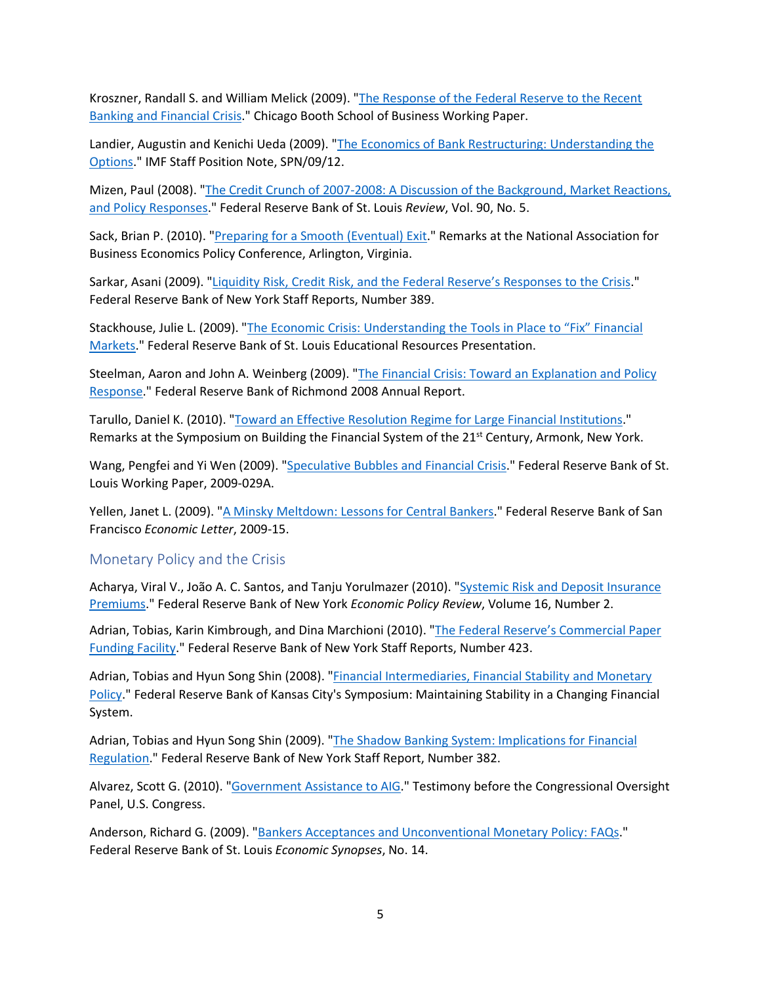Kroszner, Randall S. and William Melick (2009). ["The Response of the Federal Reserve to the Recent](http://faculty.chicagobooth.edu/randall.kroszner/research/pdf/KrosznerMelickFedCrisisResponse.pdf)  [Banking and Financial Crisis.](http://faculty.chicagobooth.edu/randall.kroszner/research/pdf/KrosznerMelickFedCrisisResponse.pdf)" Chicago Booth School of Business Working Paper.

Landier, Augustin and Kenichi Ueda (2009). ["The Economics of Bank Restructuring: Understanding the](http://www.imf.org/external/pubs/ft/spn/2009/spn0912.pdf)  [Options.](http://www.imf.org/external/pubs/ft/spn/2009/spn0912.pdf)" IMF Staff Position Note, SPN/09/12.

Mizen, Paul (2008). ["The Credit Crunch of 2007-2008: A Discussion of the Background, Market Reactions,](https://research.stlouisfed.org/publications/review/2008/09/01/the-credit-crunch-of-2007-2008-a-discussion-of-the-background-market-reactions-and-policy-responses)  [and Policy Responses.](https://research.stlouisfed.org/publications/review/2008/09/01/the-credit-crunch-of-2007-2008-a-discussion-of-the-background-market-reactions-and-policy-responses)" Federal Reserve Bank of St. Louis *Review*, Vol. 90, No. 5.

Sack, Brian P. (2010). ["Preparing for a Smooth \(Eventual\) Exit.](http://www.newyorkfed.org/newsevents/speeches/2010/sac100308.html)" Remarks at the National Association for Business Economics Policy Conference, Arlington, Virginia.

Sarkar, Asani (2009). ["Liquidity Risk, Credit Risk, and the Federal Reserve's Responses to the Crisis.](https://www.newyorkfed.org/medialibrary/media/research/staff_reports/sr389.pdf)" Federal Reserve Bank of New York Staff Reports, Number 389.

Stackhouse, Julie L. (2009). ["The Economic Crisis: Understanding the Tools in Place to "Fix" Financial](https://www.stlouisfed.org/-/media/project/frbstl/stlouisfed/files/pdfs/financial-crisis/stackhousepresentation05-2009.pdf)  [Markets.](https://www.stlouisfed.org/-/media/project/frbstl/stlouisfed/files/pdfs/financial-crisis/stackhousepresentation05-2009.pdf)" Federal Reserve Bank of St. Louis Educational Resources Presentation.

Steelman, Aaron and John A. Weinberg (2009). ["The Financial Crisis: Toward an Explanation and Policy](https://fraser.stlouisfed.org/title/annual-report-federal-reserve-bank-richmond-471/2008-annual-report-476915/financial-crisis-503175)  [Response.](https://fraser.stlouisfed.org/title/annual-report-federal-reserve-bank-richmond-471/2008-annual-report-476915/financial-crisis-503175)" Federal Reserve Bank of Richmond 2008 Annual Report.

Tarullo, Daniel K. (2010). ["Toward an Effective Resolution Regime for Large Financial Institutions.](https://fraser.stlouisfed.org/title/statements-speeches-daniel-k-tarullo-910/toward-effective-resolution-regime-large-financial-institutions-35374)" Remarks at the Symposium on Building the Financial System of the 21<sup>st</sup> Century, Armonk, New York.

Wang, Pengfei and Yi Wen (2009). ["Speculative Bubbles and Financial Crisis.](http://research.stlouisfed.org/wp/2009/2009-029.pdf)" Federal Reserve Bank of St. Louis Working Paper, 2009-029A.

Yellen, Janet L. (2009). ["A Minsky Meltdown: Lessons for Central Bankers.](https://www.frbsf.org/economic-research/publications/economic-letter/2009/may/minsky-central-bank-asset-price-bubbles/)" Federal Reserve Bank of San Francisco *Economic Letter*, 2009-15.

#### <span id="page-4-0"></span>Monetary Policy and the Crisis

Acharya, Viral V., João A. C. Santos, and Tanju Yorulmazer (2010). ["Systemic Risk and Deposit Insurance](https://www.newyorkfed.org/medialibrary/media/research/epr/10v16n1/1008yoru.pdf)  [Premiums.](https://www.newyorkfed.org/medialibrary/media/research/epr/10v16n1/1008yoru.pdf)" Federal Reserve Bank of New York *Economic Policy Review*, Volume 16, Number 2.

Adrian, Tobias, Karin Kimbrough, and Dina Marchioni (2010). ["The Federal Reserve's Commercial Paper](https://www.newyorkfed.org/research/staff_reports/sr423.html)  [Funding Facility.](https://www.newyorkfed.org/research/staff_reports/sr423.html)" Federal Reserve Bank of New York Staff Reports, Number 423.

Adrian, Tobias and Hyun Song Shin (2008). "Financial Intermediaries, Financial Stability and Monetary [Policy.](https://www.kansascityfed.org/media/files/publicat/sympos/2008/shin031209.pdf)" Federal Reserve Bank of Kansas City's Symposium: Maintaining Stability in a Changing Financial System.

Adrian, Tobias and Hyun Song Shin (2009). ["The Shadow Banking System: Implications for Financial](https://www.newyorkfed.org/research/staff_reports/sr382.html)  [Regulation.](https://www.newyorkfed.org/research/staff_reports/sr382.html)" Federal Reserve Bank of New York Staff Report, Number 382.

Alvarez, Scott G. (2010). ["Government Assistance to AIG.](https://fraser.stlouisfed.org/title/4998?start_page=26)" Testimony before the Congressional Oversight Panel, U.S. Congress.

Anderson, Richard G. (2009). ["Bankers Acceptances and Unconventional Monetary Policy: FAQs.](https://research.stlouisfed.org/publications/economic-synopses/2009/03/18/bankers-acceptances-and-unconventional-monetary-policy-faqs)" Federal Reserve Bank of St. Louis *Economic Synopses*, No. 14.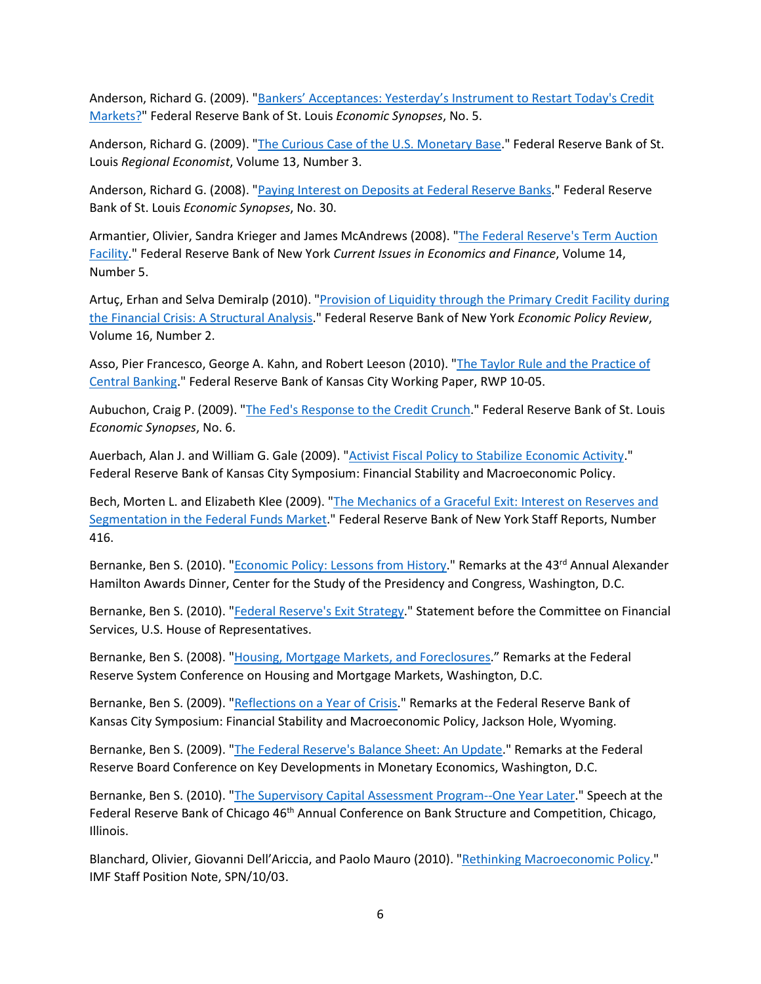Anderson, Richard G. (2009). ["Bankers' Acceptances: Yesterday's Instrument to Restart Today's Credit](https://research.stlouisfed.org/publications/economic-synopses/2009/01/09/bankers-acceptances-yesterdays-instrument-to-restart-todays-credit-markets)  [Markets?"](https://research.stlouisfed.org/publications/economic-synopses/2009/01/09/bankers-acceptances-yesterdays-instrument-to-restart-todays-credit-markets) Federal Reserve Bank of St. Louis *Economic Synopses*, No. 5.

Anderson, Richard G. (2009). ["The Curious Case of the](https://fraser.stlouisfed.org/title/regional-economist-6275/july-2009-601838/curious-case-us-monetary-base-584618) U.S. Monetary Base." Federal Reserve Bank of St. Louis *Regional Economist*, Volume 13, Number 3.

Anderson, Richard G. (2008). ["Paying Interest on Deposits at Federal Reserve Banks.](https://research.stlouisfed.org/publications/economic-synopses/2008/11/21/paying-interest-on-deposits-at-federal-reserve-banks)" Federal Reserve Bank of St. Louis *Economic Synopses*, No. 30.

Armantier, Olivier, Sandra Krieger and James McAndrews (2008). ["The Federal Reserve's Term Auction](https://www.newyorkfed.org/research/current_issues/ci14-5.html)  [Facility.](https://www.newyorkfed.org/research/current_issues/ci14-5.html)" Federal Reserve Bank of New York *Current Issues in Economics and Finance*, Volume 14, Number 5.

Artuç, Erhan and Selva Demiralp (2010). "Provision of Liquidity through the Primary Credit Facility during [the Financial Crisis: A Structural Analysis.](https://www.newyorkfed.org/medialibrary/media/research/epr/10v16n1/1008artu.pdf)" Federal Reserve Bank of New York *Economic Policy Review*, Volume 16, Number 2.

Asso, Pier Francesco, George A. Kahn, and Robert Leeson (2010). ["The Taylor Rule and the Practice of](https://www.kansascityfed.org/documents/540/pdf-rwp10-05.pdf)  [Central Banking.](https://www.kansascityfed.org/documents/540/pdf-rwp10-05.pdf)" Federal Reserve Bank of Kansas City Working Paper, RWP 10-05.

Aubuchon, Craig P. (2009). ["The Fed's Response to the Credit Crunch.](https://research.stlouisfed.org/publications/economic-synopses/2009/01/15/the-feds-response-to-the-credit-crunch)" Federal Reserve Bank of St. Louis *Economic Synopses*, No. 6.

Auerbach, Alan J. and William G. Gale (2009). ["Activist Fiscal Policy to Stabilize Economic Activity.](https://www.kansascityfed.org/media/files/publicat/sympos/2009/papers/auerbachgale093009.pdf)" Federal Reserve Bank of Kansas City Symposium: Financial Stability and Macroeconomic Policy.

Bech, Morten L. and Elizabeth Klee (2009). ["The Mechanics of a Graceful Exit: Interest on Reserves and](https://www.newyorkfed.org/research/staff_reports/sr416.html)  [Segmentation in the Federal Funds Market.](https://www.newyorkfed.org/research/staff_reports/sr416.html)" Federal Reserve Bank of New York Staff Reports, Number 416.

Bernanke, Ben S. (2010). "*Economic Policy: Lessons from History*." Remarks at the 43<sup>rd</sup> Annual Alexander Hamilton Awards Dinner, Center for the Study of the Presidency and Congress, Washington, D.C.

Bernanke, Ben S. (2010). ["Federal Reserve's Exit Strategy.](https://fraser.stlouisfed.org/title/statements-speeches-ben-s-bernanke-453/federal-reserve-s-exit-strategy-9057)" Statement before the Committee on Financial Services, U.S. House of Representatives.

Bernanke, Ben S. (2008). ["Housing, Mortgage Markets, and Foreclosures.](https://fraser.stlouisfed.org/title/statements-speeches-ben-s-bernanke-453/housing-mortgage-markets-foreclosures-9020)" Remarks at the Federal Reserve System Conference on Housing and Mortgage Markets, Washington, D.C.

Bernanke, Ben S. (2009). ["Reflections on a Year of Crisis.](https://fraser.stlouisfed.org/title/statements-speeches-ben-s-bernanke-453/reflections-a-year-crisis-9045)" Remarks at the Federal Reserve Bank of Kansas City Symposium: Financial Stability and Macroeconomic Policy, Jackson Hole, Wyoming.

Bernanke, Ben S. (2009). ["The Federal Reserve's Balance Sheet: An Update.](https://fraser.stlouisfed.org/title/statements-speeches-ben-s-bernanke-453/federal-reserve-s-balance-sheet-update-9049)" Remarks at the Federal Reserve Board Conference on Key Developments in Monetary Economics, Washington, D.C.

Bernanke, Ben S. (2010). ["The Supervisory Capital Assessment Program--One Year Later.](https://fraser.stlouisfed.org/title/statements-speeches-ben-s-bernanke-453/supervisory-capital-assessment-program--one-year-later-9070)" Speech at the Federal Reserve Bank of Chicago 46<sup>th</sup> Annual Conference on Bank Structure and Competition, Chicago, Illinois.

Blanchard, Olivier, Giovanni Dell'Ariccia, and Paolo Mauro (2010). ["Rethinking Macroeconomic Policy.](https://www.elibrary.imf.org/view/journals/004/2010/003/article-A001-en.xml)" IMF Staff Position Note, SPN/10/03.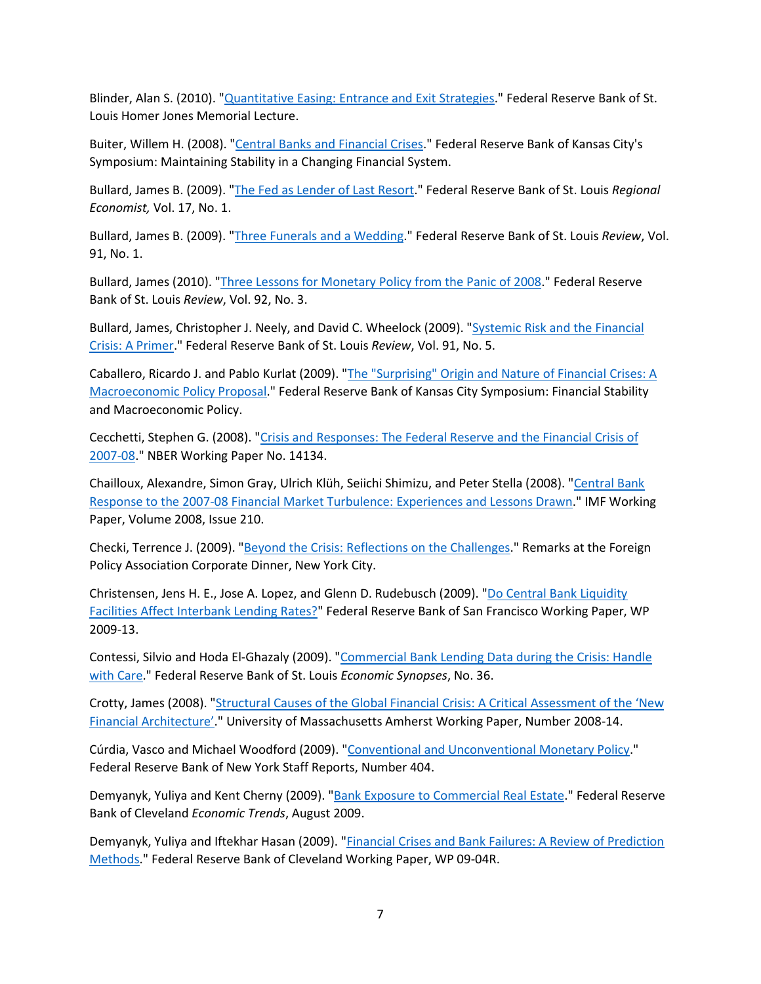Blinder, Alan S. (2010). ["Quantitative Easing: Entrance and Exit Strategies.](https://www.stlouisfed.org/financial-crisis/quantitative-easing-entrances-and-exit-strategies-at-2010-homer-jones-memorial-lecture)" Federal Reserve Bank of St. Louis Homer Jones Memorial Lecture.

Buiter, Willem H. (2008). ["Central Banks and Financial Crises.](https://www.kansascityfed.org/documents/3178/2008-Buiter031209.pdf)" Federal Reserve Bank of Kansas City's Symposium: Maintaining Stability in a Changing Financial System.

Bullard, James B. (2009). ["The Fed as Lender of Last Resort.](https://fraser.stlouisfed.org/title/regional-economist-6275/january-2009-601836/president-s-message-584597)" Federal Reserve Bank of St. Louis *Regional Economist,* Vol. 17, No. 1.

Bullard, James B. (2009). ["Three Funerals and a Wedding.](https://research.stlouisfed.org/publications/review/2009/01/01/three-funerals-and-a-wedding)" Federal Reserve Bank of St. Louis *Review*, Vol. 91, No. 1.

Bullard, James (2010). ["Three Lessons for Monetary Policy from the Panic of 2008.](https://research.stlouisfed.org/publications/review/2010/05/03/three-lessons-for-monetary-policy-from-the-panic-of-2008)" Federal Reserve Bank of St. Louis *Review*, Vol. 92, No. 3.

Bullard, James, Christopher J. Neely, and David C. Wheelock (2009). ["Systemic Risk and the Financial](https://research.stlouisfed.org/publications/review/2009/09/01/systemic-risk-and-the-financial-crisis-a-primer)  Crisis: [A Primer.](https://research.stlouisfed.org/publications/review/2009/09/01/systemic-risk-and-the-financial-crisis-a-primer)" Federal Reserve Bank of St. Louis *Review*, Vol. 91, No. 5.

Caballero, Ricardo J. and Pablo Kurlat (2009). ["The "Surprising" Origin and Nature of Financial Crises: A](http://www.kansascityfed.org/publicat/sympos/2009/papers/caballeroKurlat.08.24.09.pdf)  [Macroeconomic Policy Proposal.](http://www.kansascityfed.org/publicat/sympos/2009/papers/caballeroKurlat.08.24.09.pdf)" Federal Reserve Bank of Kansas City Symposium: Financial Stability and Macroeconomic Policy.

Cecchetti, Stephen G. (2008). ["Crisis and Responses: The Federal Reserve and the Financial Crisis of](http://www.nber.org/papers/w14134)  [2007-08.](http://www.nber.org/papers/w14134)" NBER Working Paper No. 14134.

Chailloux, Alexandre, Simon Gray, Ulrich Klüh, Seiichi Shimizu, and Peter Stella (2008). ["Central Bank](https://www.elibrary.imf.org/view/journals/001/2008/210/article-A001-en.xml)  [Response to the 2007-08 Financial Market Turbulence: Experiences and Lessons Drawn.](https://www.elibrary.imf.org/view/journals/001/2008/210/article-A001-en.xml)" IMF Working Paper, Volume 2008, Issue 210.

Checki, Terrence J. (2009). ["Beyond the Crisis: Reflections on the Challenges.](https://www.newyorkfed.org/newsevents/speeches/2009/che091202.html)" Remarks at the Foreign Policy Association Corporate Dinner, New York City.

Christensen, Jens H. E., Jose A. Lopez, and Glenn D. Rudebusch (2009). "Do Central Bank Liquidity [Facilities Affect Interbank Lending Rates?"](https://www.frbsf.org/economic-research/publications/working-papers/2009/13/) Federal Reserve Bank of San Francisco Working Paper, WP 2009-13.

Contessi, Silvio and Hoda El-Ghazaly (2009). ["Commercial Bank Lending Data during the Crisis: Handle](https://research.stlouisfed.org/publications/economic-synopses/2009/08/06/commercial-bank-lending-data-during-the-crisis-handle-with-care)  [with Care.](https://research.stlouisfed.org/publications/economic-synopses/2009/08/06/commercial-bank-lending-data-during-the-crisis-handle-with-care)" Federal Reserve Bank of St. Louis *Economic Synopses*, No. 36.

Crotty, James (2008). ["Structural Causes of the Global Financial Crisis: A Critical Assessment of the 'New](https://scholarworks.umass.edu/econ_workingpaper/16/)  [Financial Architecture'.](https://scholarworks.umass.edu/econ_workingpaper/16/)" University of Massachusetts Amherst Working Paper, Number 2008-14.

Cúrdia, Vasco and Michael Woodford (2009). ["Conventional and Unconventional Monetary Policy.](https://www.newyorkfed.org/research/staff_reports/sr404.html)" Federal Reserve Bank of New York Staff Reports, Number 404.

Demyanyk, Yuliya and Kent Cherny (2009). ["Bank Exposure to Commercial Real Estate.](https://fraser.stlouisfed.org/title/economic-trends-federal-reserve-bank-cleveland-3952/economic-trends-august-2009-493071/bank-exposure-commercial-real-estate-618913)" Federal Reserve Bank of Cleveland *Economic Trends*, August 2009.

Demyanyk, Yuliya and Iftekhar Hasan (2009). ["Financial Crises and Bank Failures: A Review of Prediction](https://www.clevelandfed.org/en/newsroom-and-events/publications/working-papers/working-papers-archives/2009-working-papers/wp-0904r-financial-crises-and-bank-failures-a-review-of-prediction-methods.aspx)  [Methods.](https://www.clevelandfed.org/en/newsroom-and-events/publications/working-papers/working-papers-archives/2009-working-papers/wp-0904r-financial-crises-and-bank-failures-a-review-of-prediction-methods.aspx)" Federal Reserve Bank of Cleveland Working Paper, WP 09-04R.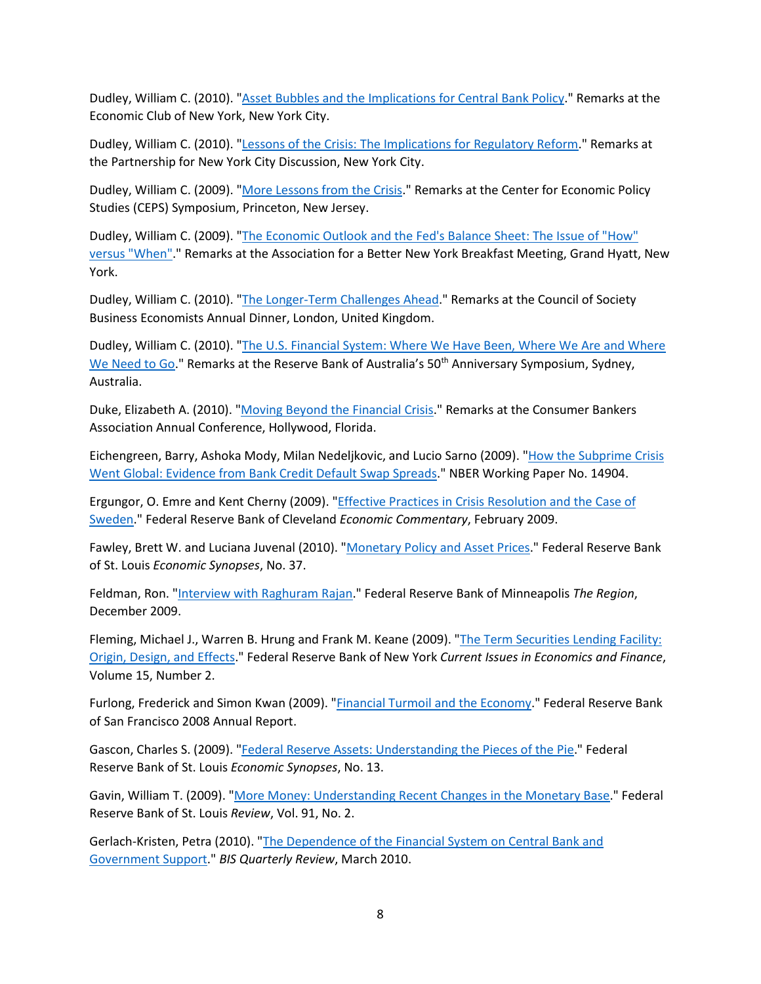Dudley, William C. (2010). ["Asset Bubbles and the Implications for Central Bank Policy.](http://www.newyorkfed.org/newsevents/speeches/2010/dud100407.html)" Remarks at the Economic Club of New York, New York City.

Dudley, William C. (2010). ["Lessons of the Crisis: The Implications for Regulatory Reform.](http://www.newyorkfed.org/newsevents/speeches/2010/dud100120.html)" Remarks at the Partnership for New York City Discussion, New York City.

Dudley, William C. (2009). ["More Lessons from the Crisis.](http://www.newyorkfed.org/newsevents/speeches/2009/dud091113.html)" Remarks at the Center for Economic Policy Studies (CEPS) Symposium, Princeton, New Jersey.

Dudley, William C. (2009). ["The Economic Outlook and the Fed's Balance Sheet: The Issue of "How"](http://www.newyorkfed.org/newsevents/speeches/2009/dud090729.html)  [versus "When".](http://www.newyorkfed.org/newsevents/speeches/2009/dud090729.html)" Remarks at the Association for a Better New York Breakfast Meeting, Grand Hyatt, New York.

Dudley, William C. (2010). ["The Longer-Term Challenges Ahead.](http://www.newyorkfed.org/newsevents/speeches/2010/dud100311.html)" Remarks at the Council of Society Business Economists Annual Dinner, London, United Kingdom.

Dudley, William C. (2010). ["The U.S. Financial System: Where We Have Been, Where We Are and Where](http://www.newyorkfed.org/newsevents/speeches/2010/dud100208.html)  [We Need to Go.](http://www.newyorkfed.org/newsevents/speeches/2010/dud100208.html)" Remarks at the Reserve Bank of Australia's 50<sup>th</sup> Anniversary Symposium, Sydney, Australia.

Duke, Elizabeth A. (2010). ["Moving Beyond the Financial Crisis.](https://www.federalreserve.gov/newsevents/speech/duke20100608a.htm)" Remarks at the Consumer Bankers Association Annual Conference, Hollywood, Florida.

Eichengreen, Barry, Ashoka Mody, Milan Nedeljkovic, and Lucio Sarno (2009). ["How the Subprime Crisis](https://www.nber.org/papers/w14904)  [Went Global: Evidence from Bank Credit Default Swap Spreads.](https://www.nber.org/papers/w14904)" NBER Working Paper No. 14904.

Ergungor, O. Emre and Kent Cherny (2009). ["Effective Practices in Crisis Resolution and the Case of](https://www.clevelandfed.org/newsroom-and-events/publications/economic-commentary/economic-commentary-archives/2009-economic-commentaries/ec-20090209-effective-practices-in-crisis-resolution-and-the-case-of-sweden.aspx)  [Sweden.](https://www.clevelandfed.org/newsroom-and-events/publications/economic-commentary/economic-commentary-archives/2009-economic-commentaries/ec-20090209-effective-practices-in-crisis-resolution-and-the-case-of-sweden.aspx)" Federal Reserve Bank of Cleveland *Economic Commentary*, February 2009.

Fawley, Brett W. and Luciana Juvenal (2010). ["Monetary Policy and Asset Prices.](https://research.stlouisfed.org/publications/economic-synopses/2010/12/27/unemployment-and-the-role-of-monetary-policy)" Federal Reserve Bank of St. Louis *Economic Synopses*, No. 37.

Feldman, Ron. ["Interview with Raghuram Rajan.](https://www.minneapolisfed.org/article/2009/interview-with-raghuram-rajan)" Federal Reserve Bank of Minneapolis *The Region*, December 2009.

Fleming, Michael J., Warren B. Hrung and Frank M. Keane (2009). ["The Term Securities Lending Facility:](https://www.newyorkfed.org/research/current_issues/ci15-2.html)  [Origin, Design, and Effects.](https://www.newyorkfed.org/research/current_issues/ci15-2.html)" Federal Reserve Bank of New York *Current Issues in Economics and Finance*, Volume 15, Number 2.

Furlong, Frederick and Simon Kwan (2009). ["Financial Turmoil and the Economy.](http://www.frbsf.org/publications/federalreserve/annual/2008/financial_turmoil.pdf)" Federal Reserve Bank of San Francisco 2008 Annual Report.

Gascon, Charles S. (2009). ["Federal Reserve Assets: Understanding the Pieces of the Pie.](https://research.stlouisfed.org/publications/economic-synopses/2009/03/10/federal-reserve-assets-understanding-the-pieces-of-the-pie)" Federal Reserve Bank of St. Louis *Economic Synopses*, No. 13.

Gavin, William T. (2009). ["More Money: Understanding Recent Changes in the Monetary Base.](https://research.stlouisfed.org/publications/review/2009/03/02/more-money-understanding-recent-changes-in-the-monetary-base)" Federal Reserve Bank of St. Louis *Review*, Vol. 91, No. 2.

Gerlach-Kristen, Petra (2010). ["The Dependence of the Financial System on Central Bank and](https://www.bis.org/publ/qtrpdf/r_qt1003g.htm)  [Government Support.](https://www.bis.org/publ/qtrpdf/r_qt1003g.htm)" *BIS Quarterly Review*, March 2010.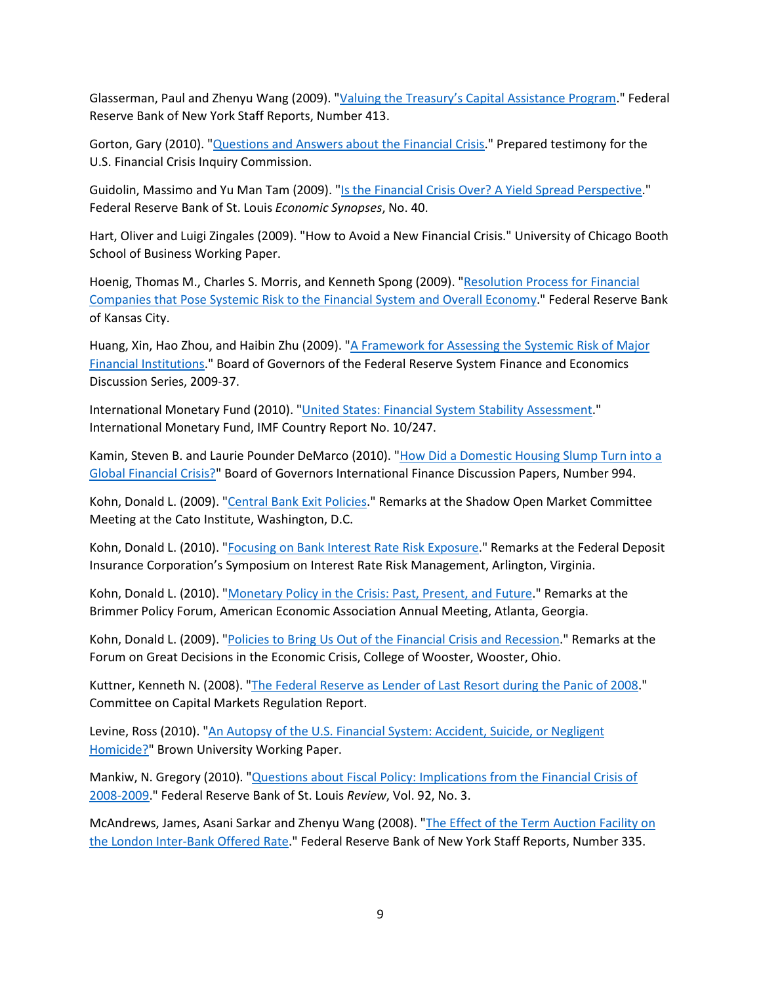Glasserman, Paul and Zhenyu Wang (2009). ["Valuing the Treasury's Capital Assistance Program.](https://www.newyorkfed.org/research/staff_reports/sr413.html)" Federal Reserve Bank of New York Staff Reports, Number 413.

Gorton, Gary (2010). ["Questions and Answers about the Financial Crisis.](http://online.wsj.com/public/resources/documents/crisisqa0210.pdf)" Prepared testimony for the U.S. Financial Crisis Inquiry Commission.

Guidolin, Massimo and Yu Man Tam (2009). ["Is the Financial Crisis Over? A Yield Spread Perspective.](https://research.stlouisfed.org/publications/economic-synopses/2009/09/21/is-the-financial-crisis-over-a-yield-spread-perspective)" Federal Reserve Bank of St. Louis *Economic Synopses*, No. 40.

Hart, Oliver and Luigi Zingales (2009). "How to Avoid a New Financial Crisis." University of Chicago Booth School of Business Working Paper.

Hoenig, Thomas M., Charles S. Morris, and Kenneth Spong (2009). ["Resolution Process for Financial](http://web.archive.org/web/20100703102701/https:/www.kansascityfed.org/speechbio/resolutionprocess.09.03.09.pdf)  [Companies that Pose Systemic Risk to the Financial System and Overall Economy.](http://web.archive.org/web/20100703102701/https:/www.kansascityfed.org/speechbio/resolutionprocess.09.03.09.pdf)" Federal Reserve Bank of Kansas City.

Huang, Xin, Hao Zhou, and Haibin Zhu (2009). ["A Framework for Assessing the Systemic Risk of Major](https://fraser.stlouisfed.org/title/a-framework-assessing-systemic-risk-major-financial-institutions-6407)  [Financial Institutions.](https://fraser.stlouisfed.org/title/a-framework-assessing-systemic-risk-major-financial-institutions-6407)" Board of Governors of the Federal Reserve System Finance and Economics Discussion Series, 2009-37.

International Monetary Fund (2010). ["United States: Financial System Stability Assessment.](https://www.imf.org/en/Publications/CR/Issues/2016/12/31/United-States-Publication-of-Financial-Sector-Assessment-Program-Documentation-Financial-24105)" International Monetary Fund, IMF Country Report No. 10/247.

Kamin, Steven B. and Laurie Pounder DeMarco (2010). ["How Did a Domestic Housing Slump Turn into a](https://www.federalreserve.gov/econres/ifdp/how-did-a-domestic-housing-slump-turn-into-a-global-financial-crisis.htm)  [Global Financial Crisis?"](https://www.federalreserve.gov/econres/ifdp/how-did-a-domestic-housing-slump-turn-into-a-global-financial-crisis.htm) Board of Governors International Finance Discussion Papers, Number 994.

Kohn, Donald L. (2009). ["Central Bank Exit Policies.](https://fraser.stlouisfed.org/title/statements-speeches-donald-l-kohn-464/central-bank-exit-policies-10511)" Remarks at the Shadow Open Market Committee Meeting at the Cato Institute, Washington, D.C.

Kohn, Donald L. (2010). ["Focusing on Bank Interest Rate Risk Exposure.](https://fraser.stlouisfed.org/title/statements-speeches-donald-l-kohn-464/focusing-bank-interest-rate-risk-exposure-10516)" Remarks at the Federal Deposit Insurance Corporation's Symposium on Interest Rate Risk Management, Arlington, Virginia.

Kohn, Donald L. (2010). ["Monetary Policy in the Crisis: Past, Present, and Future.](https://fraser.stlouisfed.org/title/statements-speeches-donald-l-kohn-464/monetary-policy-crisis-past-present-future-10515)" Remarks at the Brimmer Policy Forum, American Economic Association Annual Meeting, Atlanta, Georgia.

Kohn, Donald L. (2009). ["Policies to Bring Us Out of the Financial Crisis and Recession.](https://fraser.stlouisfed.org/title/statements-speeches-donald-l-kohn-464/policies-bring-us-financial-crisis-recession-10503)" Remarks at the Forum on Great Decisions in the Economic Crisis, College of Wooster, Wooster, Ohio.

Kuttner, Kenneth N. (2008). ["The Federal Reserve as Lender of Last Resort during the Panic of 2008.](https://www.capmktsreg.org/2008/01/13/the-federal-reserve-as-lender-of-last-resort-during-the-panic-of-2008/)" Committee on Capital Markets Regulation Report.

Levine, Ross (2010). "An Autopsy of the U.S. Financial System: Accident, Suicide, or Negligent [Homicide?"](https://papers.ssrn.com/sol3/papers.cfm?abstract_id=1589027) Brown University Working Paper.

Mankiw, N. Gregory (2010). ["Questions about Fiscal Policy: Implications from the Financial Crisis of](https://research.stlouisfed.org/publications/review/2010/05/03/questions-about-fiscal-policy-implications-from-the-financial-crisis-of-2008-2009)  [2008-2009.](https://research.stlouisfed.org/publications/review/2010/05/03/questions-about-fiscal-policy-implications-from-the-financial-crisis-of-2008-2009)" Federal Reserve Bank of St. Louis *Review*, Vol. 92, No. 3.

McAndrews, James, Asani Sarkar and Zhenyu Wang (2008). ["The Effect of the Term Auction Facility on](https://www.newyorkfed.org/research/staff_reports/sr335.html)  [the London Inter-Bank Offered Rate.](https://www.newyorkfed.org/research/staff_reports/sr335.html)" Federal Reserve Bank of New York Staff Reports, Number 335.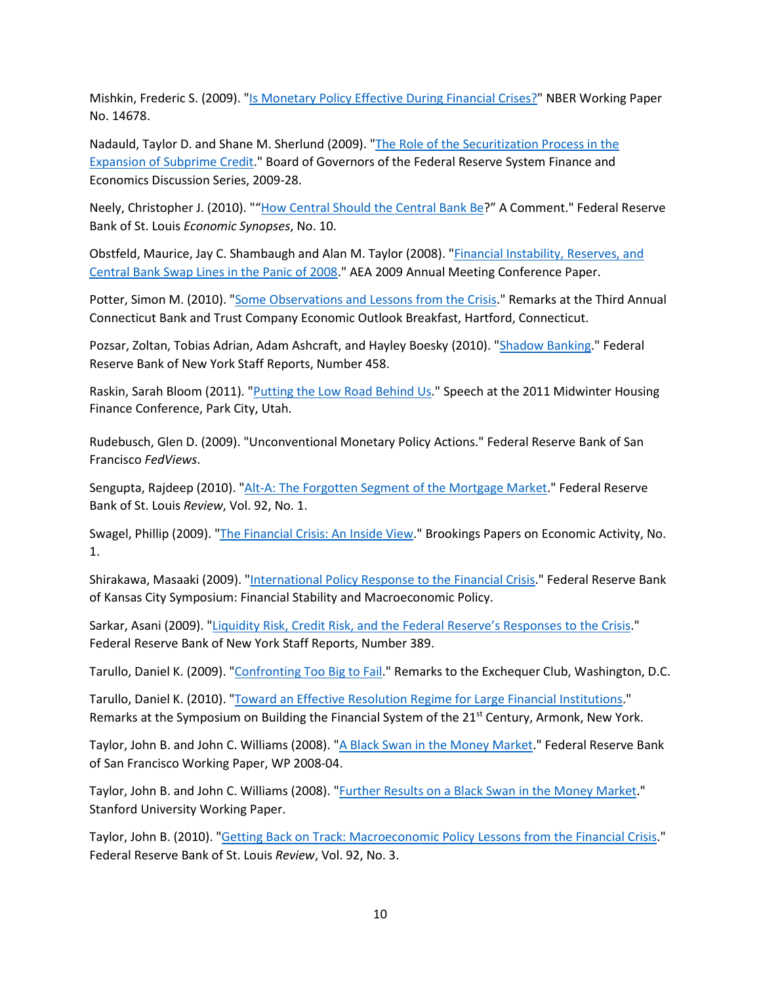Mishkin, Frederic S. (2009). ["Is Monetary Policy Effective During Financial Crises?"](https://www.nber.org/papers/w14678) NBER Working Paper No. 14678.

Nadauld, Taylor D. and Shane M. Sherlund (2009). ["The Role of the Securitization Process in the](https://fraser.stlouisfed.org/title/role-securitization-process-expansion-subprime-credit-6410)  [Expansion of Subprime Credit.](https://fraser.stlouisfed.org/title/role-securitization-process-expansion-subprime-credit-6410)" Board of Governors of the Federal Reserve System Finance and Economics Discussion Series, 2009-28.

Neely, Christopher J. (2010). "["How Central Should the Central Bank Be?](https://research.stlouisfed.org/publications/economic-synopses/2010/04/22/how-central-should-the-central-bank-be-a-comment)" A Comment." Federal Reserve Bank of St. Louis *Economic Synopses*, No. 10.

Obstfeld, Maurice, Jay C. Shambaugh and Alan M. Taylor (2008). ["Financial Instability, Reserves, and](https://eml.berkeley.edu/%7Eobstfeld/shambaughtaylor121908.pdf)  [Central Bank Swap Lines in the Panic of 2008.](https://eml.berkeley.edu/%7Eobstfeld/shambaughtaylor121908.pdf)" AEA 2009 Annual Meeting Conference Paper.

Potter, Simon M. (2010). ["Some Observations and Lessons from the Crisis.](https://www.newyorkfed.org/newsevents/speeches/2010/pot100607.html)" Remarks at the Third Annual Connecticut Bank and Trust Company Economic Outlook Breakfast, Hartford, Connecticut.

Pozsar, Zoltan, Tobias Adrian, Adam Ashcraft, and Hayley Boesky (2010). ["Shadow Banking.](https://www.newyorkfed.org/research/staff_reports/sr458.html)" Federal Reserve Bank of New York Staff Reports, Number 458.

Raskin, Sarah Bloom (2011). ["Putting the Low Road Behind Us.](https://fraser.stlouisfed.org/title/statements-speeches-sarah-bloom-raskin-951/putting-low-road-behind-us-37013)" Speech at the 2011 Midwinter Housing Finance Conference, Park City, Utah.

Rudebusch, Glen D. (2009). "Unconventional Monetary Policy Actions." Federal Reserve Bank of San Francisco *FedViews*.

Sengupta, Rajdeep (2010). ["Alt-A: The Forgotten Segment of the Mortgage Market.](https://research.stlouisfed.org/publications/review/2010/01/04/alt-a-the-forgotten-segment-of-the-mortgage-market)" Federal Reserve Bank of St. Louis *Review*, Vol. 92, No. 1.

Swagel, Phillip (2009). ["The Financial Crisis: An Inside View.](https://www.brookings.edu/bpea-articles/the-financial-crisis-an-inside-view/)" Brookings Papers on Economic Activity, No. 1.

Shirakawa, Masaaki (2009). ["International Policy Response to the Financial Crisis.](https://www.kansascityfed.org/documents/3152/papers-Shirakawa082409.pdf)" Federal Reserve Bank of Kansas City Symposium: Financial Stability and Macroeconomic Policy.

Sarkar, Asani (2009). ["Liquidity Risk, Credit Risk, and the Federal Reserve's Responses to the Crisis.](https://www.newyorkfed.org/research/staff_reports/sr389.html)" Federal Reserve Bank of New York Staff Reports, Number 389.

Tarullo, Daniel K. (2009). ["Confronting Too Big to Fail.](https://fraser.stlouisfed.org/title/statements-speeches-daniel-k-tarullo-910/confronting-big-fail-35352)" Remarks to the Exchequer Club, Washington, D.C.

Tarullo, Daniel K. (2010). ["Toward an Effective Resolution Regime for Large Financial Institutions.](https://fraser.stlouisfed.org/title/statements-speeches-daniel-k-tarullo-910/toward-effective-resolution-regime-large-financial-institutions-35374)" Remarks at the Symposium on Building the Financial System of the 21<sup>st</sup> Century, Armonk, New York.

Taylor, John B. and John C. Williams (2008). ["A Black Swan in the Money Market.](https://www.frbsf.org/economic-research/publications/working-papers/2008/04/)" Federal Reserve Bank of San Francisco Working Paper, WP 2008-04.

Taylor, John B. and John C. Williams (2008). ["Further Results on a Black Swan in the Money Market.](http://web.stanford.edu/%7Ejohntayl/Taylor-Williams-Further%20Results%20on%20Black%20Swan.pdf)" Stanford University Working Paper.

Taylor, John B. (2010). ["Getting Back on Track: Macroeconomic Policy Lessons from the Financial Crisis.](https://research.stlouisfed.org/publications/review/2010/05/03/getting-back-on-track-macroeconomic-policy-lessons-from-the-financial-crisis)" Federal Reserve Bank of St. Louis *Review*, Vol. 92, No. 3.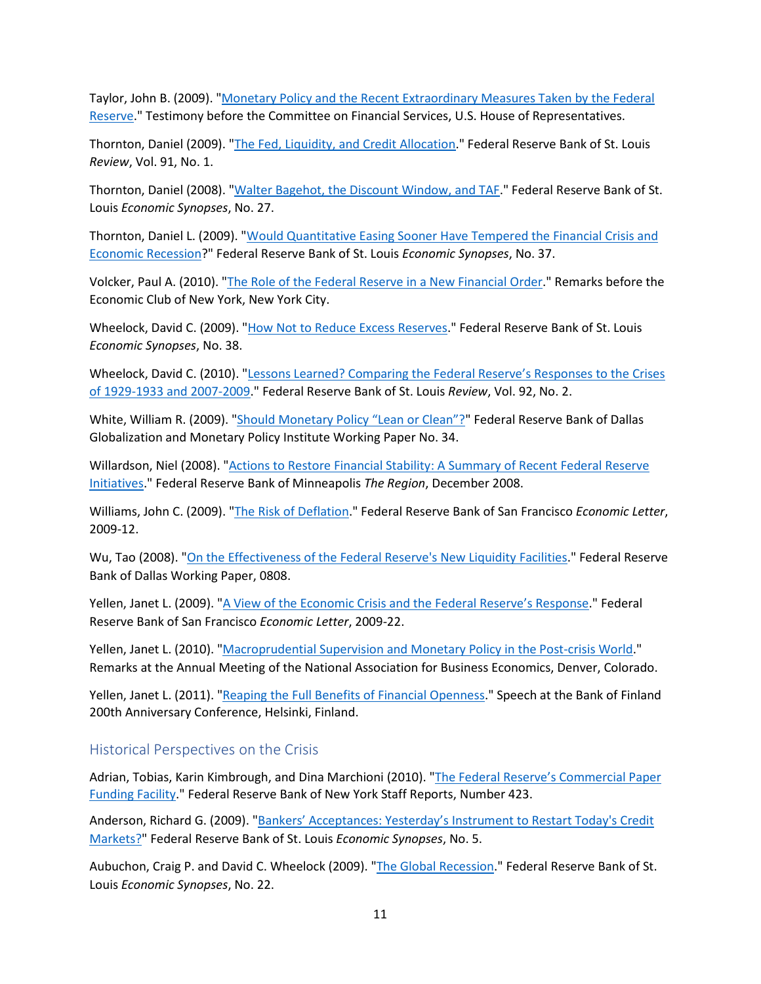Taylor, John B. (2009). ["Monetary Policy and the Recent Extraordinary Measures Taken by the Federal](https://fraser.stlouisfed.org/title/6404?start_page=60)  [Reserve.](https://fraser.stlouisfed.org/title/6404?start_page=60)" Testimony before the Committee on Financial Services, U.S. House of Representatives.

Thornton, Daniel (2009). ["The Fed, Liquidity, and Credit Allocation.](https://research.stlouisfed.org/publications/review/2009/01/01/the-fed-liquidity-and-credit-allocation)" Federal Reserve Bank of St. Louis *Review*, Vol. 91, No. 1.

Thornton, Daniel (2008). ["Walter Bagehot, the Discount Window, and TAF.](https://research.stlouisfed.org/publications/economic-synopses/2008/10/28/walter-bagehot-the-discount-window-and-taf)" Federal Reserve Bank of St. Louis *Economic Synopses*, No. 27.

Thornton, Daniel L. (2009). ["Would Quantitative Easing Sooner Have Tempered the Financial Crisis and](https://research.stlouisfed.org/publications/economic-synopses/2009/08/17/would-quantitative-easing-sooner-have-tempered-the-financial-crisis-and-economic-recession)  [Economic Recession?](https://research.stlouisfed.org/publications/economic-synopses/2009/08/17/would-quantitative-easing-sooner-have-tempered-the-financial-crisis-and-economic-recession)" Federal Reserve Bank of St. Louis *Economic Synopses*, No. 37.

Volcker, Paul A. (2010). ["The Role of the Federal Reserve in a New Financial Order.](https://fraser.stlouisfed.org/title/statements-speeches-paul-a-volcker-451/remarks-economic-club-new-york-new-york-city-609026)" Remarks before the Economic Club of New York, New York City.

Wheelock, David C. (2009). ["How Not to Reduce Excess Reserves.](https://research.stlouisfed.org/publications/economic-synopses/2009/08/26/how-not-to-reduce-excess-reserves)" Federal Reserve Bank of St. Louis *Economic Synopses*, No. 38.

Wheelock, David C. (2010). ["Lessons Learned? Comparing the Federal Reserve's Responses to the Crises](https://research.stlouisfed.org/publications/review/2010/03/01/lessons-learned-comparing-the-federal-reserves-responses-to-the-crises-of-1929-1933-and-2007-2009)  [of 1929-1933 and 2007-2009.](https://research.stlouisfed.org/publications/review/2010/03/01/lessons-learned-comparing-the-federal-reserves-responses-to-the-crises-of-1929-1933-and-2007-2009)" Federal Reserve Bank of St. Louis *Review*, Vol. 92, No. 2.

White, William R. (2009). ["Should Monetary Policy "Lean or Clean"?"](https://www.dallasfed.org/%7E/media/documents/institute/wpapers/2009/0034.pdf) Federal Reserve Bank of Dallas Globalization and Monetary Policy Institute Working Paper No. 34.

Willardson, Niel (2008). ["Actions to Restore Financial Stability: A Summary of Recent Federal Reserve](https://www.minneapolisfed.org/article/2008/actions-to-restore-financial-stability)  [Initiatives.](https://www.minneapolisfed.org/article/2008/actions-to-restore-financial-stability)" Federal Reserve Bank of Minneapolis *The Region*, December 2008.

Williams, John C. (2009). ["The Risk of Deflation.](https://www.frbsf.org/economic-research/publications/economic-letter/2009/march/risk-deflation/)" Federal Reserve Bank of San Francisco *Economic Letter*, 2009-12.

Wu, Tao (2008). ["On the Effectiveness of the Federal Reserve's New Liquidity Facilities.](https://www.dallasfed.org/%7E/media/documents/research/papers/2008/wp0808.pdf)" Federal Reserve Bank of Dallas Working Paper, 0808.

Yellen, Janet L. (2009). ["A View of the Economic Crisis and the Federal Reserve's Response.](https://www.frbsf.org/economic-research/publications/economic-letter/2009/july/economic-crisis-federal-reserve/)" Federal Reserve Bank of San Francisco *Economic Letter*, 2009-22.

Yellen, Janet L. (2010). ["Macroprudential Supervision and Monetary Policy in the Post-crisis World.](https://fraser.stlouisfed.org/title/statements-speeches-janet-l-yellen-930/macroprudential-supervision-monetary-policy-post-crisis-world-36162)" Remarks at the Annual Meeting of the National Association for Business Economics, Denver, Colorado.

Yellen, Janet L. (2011). ["Reaping the Full Benefits of Financial Openness.](https://fraser.stlouisfed.org/title/statements-speeches-janet-l-yellen-930/reaping-full-benefits-financial-openness-36173)" Speech at the Bank of Finland 200th Anniversary Conference, Helsinki, Finland.

#### <span id="page-10-0"></span>Historical Perspectives on the Crisis

Adrian, Tobias, Karin Kimbrough, and Dina Marchioni (2010). "The Federal Reserve's Commercial Paper [Funding Facility.](https://www.newyorkfed.org/research/staff_reports/sr423.html)" Federal Reserve Bank of New York Staff Reports, Number 423.

Anderson, Richard G. (2009). ["Bankers' Acceptances: Yesterday's Instrument to Restart Today's Credit](https://research.stlouisfed.org/publications/economic-synopses/2009/01/09/bankers-acceptances-yesterdays-instrument-to-restart-todays-credit-markets)  [Markets?"](https://research.stlouisfed.org/publications/economic-synopses/2009/01/09/bankers-acceptances-yesterdays-instrument-to-restart-todays-credit-markets) Federal Reserve Bank of St. Louis *Economic Synopses*, No. 5.

Aubuchon, Craig P. and David C. Wheelock (2009). ["The Global Recession.](https://research.stlouisfed.org/publications/economic-synopses/2009/05/05/the-global-recession)" Federal Reserve Bank of St. Louis *Economic Synopses*, No. 22.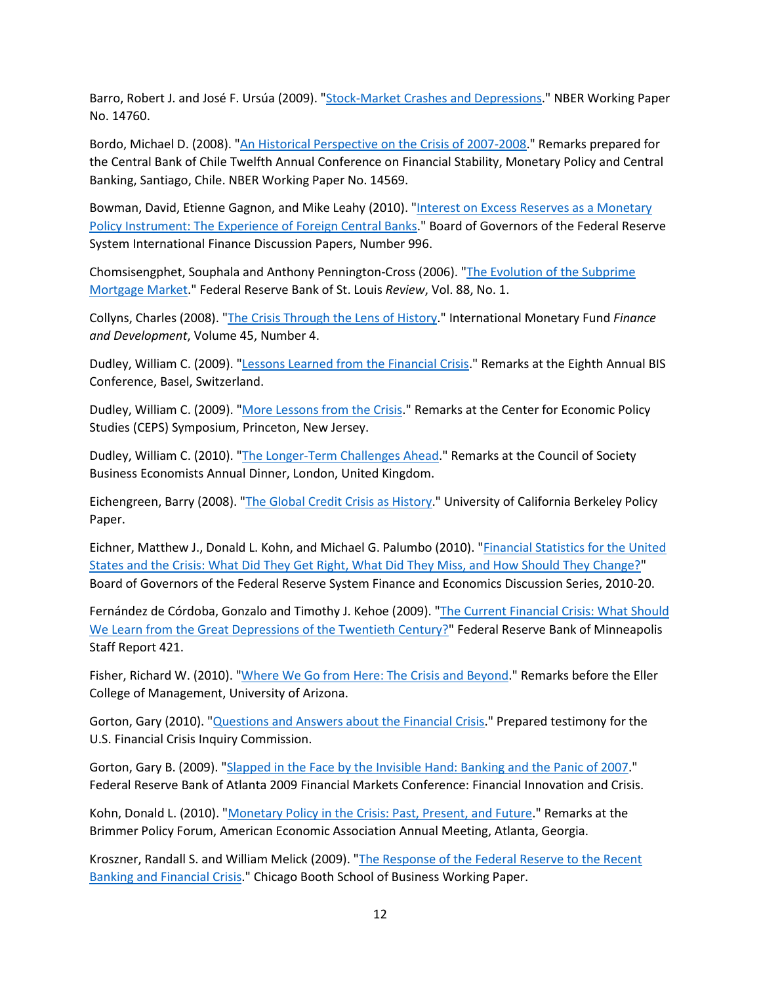Barro, Robert J. and José F. Ursúa (2009). ["Stock-Market Crashes and Depressions.](https://www.nber.org/papers/w14760)" NBER Working Paper No. 14760.

Bordo, Michael D. (2008). ["An Historical Perspective on the Crisis of 2007-2008.](https://www.nber.org/papers/w14569)" Remarks prepared for the Central Bank of Chile Twelfth Annual Conference on Financial Stability, Monetary Policy and Central Banking, Santiago, Chile. NBER Working Paper No. 14569.

Bowman, David, Etienne Gagnon, and Mike Leahy (2010). "Interest on Excess Reserves as a Monetary [Policy Instrument: The Experience of Foreign Central Banks.](https://www.federalreserve.gov/econres/ifdp/interest-on-excess-reserves-as-a-monetary-policy-instrument-the-experience-of-foreign-central-banks.htm)" Board of Governors of the Federal Reserve System International Finance Discussion Papers, Number 996.

Chomsisengphet, Souphala and Anthony Pennington-Cross (2006). ["The Evolution of the Subprime](https://research.stlouisfed.org/publications/review/2006/01/01/the-evolution-of-the-subprime-mortgage-market)  [Mortgage Market.](https://research.stlouisfed.org/publications/review/2006/01/01/the-evolution-of-the-subprime-mortgage-market)" Federal Reserve Bank of St. Louis *Review*, Vol. 88, No. 1.

Collyns, Charles (2008). ["The Crisis Through the Lens of History.](https://www.imf.org/external/pubs/ft/fandd/2008/12/collyns.htm)" International Monetary Fund *Finance and Development*, Volume 45, Number 4.

Dudley, William C. (2009). ["Lessons Learned from the Financial Crisis.](https://www.newyorkfed.org/newsevents/speeches/2009/dud090702.html)" Remarks at the Eighth Annual BIS Conference, Basel, Switzerland.

Dudley, William C. (2009). ["More Lessons from the Crisis.](http://www.newyorkfed.org/newsevents/speeches/2009/dud091113.html)" Remarks at the Center for Economic Policy Studies (CEPS) Symposium, Princeton, New Jersey.

Dudley, William C. (2010). ["The Longer-Term Challenges Ahead.](http://www.newyorkfed.org/newsevents/speeches/2010/dud100311.html)" Remarks at the Council of Society Business Economists Annual Dinner, London, United Kingdom.

Eichengreen, Barry (2008). ["The Global Credit Crisis as History.](https://eml.berkeley.edu/%7Eeichengr/global_credit_crisis_history_12-3-08.pdf)" University of California Berkeley Policy Paper.

Eichner, Matthew J., Donald L. Kohn, and Michael G. Palumbo (2010). ["Financial Statistics for the United](https://fraser.stlouisfed.org/title/financial-statistics-united-states-crisis-6409)  [States and the Crisis: What Did They Get Right, What Did They Miss, and How Should They Change?"](https://fraser.stlouisfed.org/title/financial-statistics-united-states-crisis-6409) Board of Governors of the Federal Reserve System Finance and Economics Discussion Series, 2010-20.

Fernández de Córdoba, Gonzalo and Timothy J. Kehoe (2009). "The Current Financial Crisis: What Should [We Learn from the Great Depressions of the Twentieth Century?"](https://www.minneapolisfed.org/research/staff-reports/the-current-financial-crisis-what-should-we-learn-from-the-great-depressions-of-the-twentieth-century) Federal Reserve Bank of Minneapolis Staff Report 421.

Fisher, Richard W. (2010). ["Where We Go from Here: The Crisis and Beyond.](https://fraser.stlouisfed.org/title/statements-speeches-richard-w-fisher-6147/go-crisis-beyond-reference-pg-wodehouse-john-kenneth-galbraith-alan-greenspan-unnamed-eller-college-student-594111)" Remarks before the Eller College of Management, University of Arizona.

Gorton, Gary (2010). ["Questions and Answers about the Financial Crisis.](http://online.wsj.com/public/resources/documents/crisisqa0210.pdf)" Prepared testimony for the U.S. Financial Crisis Inquiry Commission.

Gorton, Gary B. (2009). ["Slapped in the Face by the Invisible Hand: Banking and the Panic of 2007.](https://www.atlantafed.org/-/media/documents/news/conferences/2009/financial-markets-conference/gorton.pdf)" Federal Reserve Bank of Atlanta 2009 Financial Markets Conference: Financial Innovation and Crisis.

Kohn, Donald L. (2010). ["Monetary Policy in the Crisis: Past, Present, and Future.](https://fraser.stlouisfed.org/title/statements-speeches-donald-l-kohn-464/monetary-policy-crisis-past-present-future-10515)" Remarks at the Brimmer Policy Forum, American Economic Association Annual Meeting, Atlanta, Georgia.

Kroszner, Randall S. and William Melick (2009). ["The Response of the Federal Reserve to the Recent](http://faculty.chicagobooth.edu/randall.kroszner/research/pdf/KrosznerMelickFedCrisisResponse.pdf)  [Banking and Financial Crisis.](http://faculty.chicagobooth.edu/randall.kroszner/research/pdf/KrosznerMelickFedCrisisResponse.pdf)" Chicago Booth School of Business Working Paper.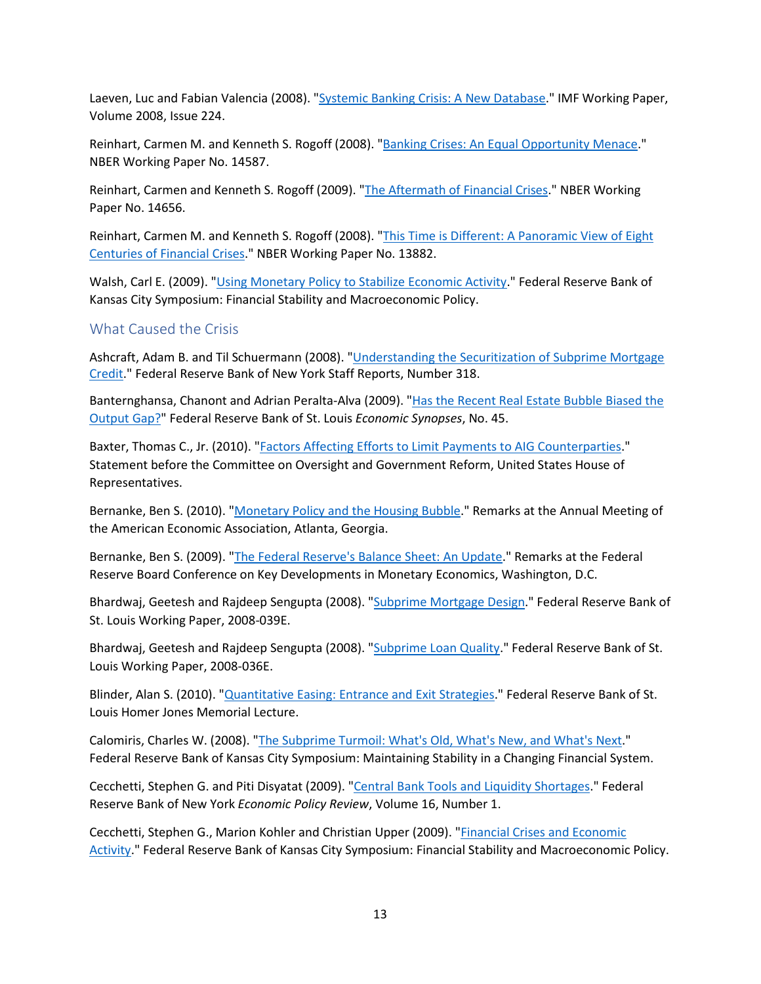Laeven, Luc and Fabian Valencia (2008). ["Systemic Banking Crisis: A New Database.](https://www.elibrary.imf.org/view/journals/001/2008/224/article-A001-en.xml)" IMF Working Paper, Volume 2008, Issue 224.

Reinhart, Carmen M. and Kenneth S. Rogoff (2008). ["Banking Crises: An Equal Opportunity Menace.](https://www.nber.org/papers/w14587)" NBER Working Paper No. 14587.

Reinhart, Carmen and Kenneth S. Rogoff (2009). ["The Aftermath of Financial Crises.](https://www.nber.org/papers/w14656)" NBER Working Paper No. 14656.

Reinhart, Carmen M. and Kenneth S. Rogoff (2008). ["This Time is Different: A Panoramic View of Eight](https://www.nber.org/papers/w13882)  [Centuries of Financial Crises.](https://www.nber.org/papers/w13882)" NBER Working Paper No. 13882.

Walsh, Carl E. (2009). ["Using Monetary Policy to Stabilize Economic Activity.](https://www.kansascityfed.org/documents/3144/papers-Walsh091109.pdf)" Federal Reserve Bank of Kansas City Symposium: Financial Stability and Macroeconomic Policy.

#### <span id="page-12-0"></span>What Caused the Crisis

Ashcraft, Adam B. and Til Schuermann (2008). ["Understanding the Securitization of Subprime Mortgage](https://www.newyorkfed.org/research/staff_reports/sr318.html)  [Credit.](https://www.newyorkfed.org/research/staff_reports/sr318.html)" Federal Reserve Bank of New York Staff Reports, Number 318.

Banternghansa, Chanont and Adrian Peralta-Alva (2009). ["Has the Recent Real Estate Bubble Biased the](https://research.stlouisfed.org/publications/economic-synopses/2009/12/16/has-the-recent-real-estate-bubble-biased-the-output-gap)  [Output Gap?"](https://research.stlouisfed.org/publications/economic-synopses/2009/12/16/has-the-recent-real-estate-bubble-biased-the-output-gap) Federal Reserve Bank of St. Louis *Economic Synopses*, No. 45.

Baxter, Thomas C., Jr. (2010). ["Factors Affecting Efforts to Limit Payments to AIG Counterparties.](https://fraser.stlouisfed.org/title/5135?start_page=186)" Statement before the Committee on Oversight and Government Reform, United States House of Representatives.

Bernanke, Ben S. (2010). ["Monetary Policy and the Housing Bubble.](https://fraser.stlouisfed.org/title/statements-speeches-ben-s-bernanke-453/monetary-policy-housing-bubble-9055)" Remarks at the Annual Meeting of the American Economic Association, Atlanta, Georgia.

Bernanke, Ben S. (2009). ["The Federal Reserve's Balance Sheet: An Update.](https://fraser.stlouisfed.org/title/statements-speeches-ben-s-bernanke-453/federal-reserve-s-balance-sheet-update-9049)" Remarks at the Federal Reserve Board Conference on Key Developments in Monetary Economics, Washington, D.C.

Bhardwaj, Geetesh and Rajdeep Sengupta (2008). ["Subprime Mortgage Design.](https://research.stlouisfed.org/wp/more/2008-039)" Federal Reserve Bank of St. Louis Working Paper, 2008-039E.

Bhardwaj, Geetesh and Rajdeep Sengupta (2008). ["Subprime Loan Quality.](https://research.stlouisfed.org/wp/more/2008-036)" Federal Reserve Bank of St. Louis Working Paper, 2008-036E.

Blinder, Alan S. (2010). ["Quantitative Easing: Entrance and Exit Strategies.](https://www.stlouisfed.org/financial-crisis/quantitative-easing-entrances-and-exit-strategies-at-2010-homer-jones-memorial-lecture)" Federal Reserve Bank of St. Louis Homer Jones Memorial Lecture.

Calomiris, Charles W. (2008). ["The Subprime Turmoil: What's Old, What's New, and What's Next.](https://www.kansascityfed.org/documents/3161/2008-Calomiris031209.pdf)" Federal Reserve Bank of Kansas City Symposium: Maintaining Stability in a Changing Financial System.

Cecchetti, Stephen G. and Piti Disyatat (2009). ["Central Bank Tools and Liquidity Shortages.](https://www.newyorkfed.org/medialibrary/media/research/epr/10v16n1/1008cecc.pdf)" Federal Reserve Bank of New York *Economic Policy Review*, Volume 16, Number 1.

Cecchetti, Stephen G., Marion Kohler and Christian Upper (2009). ["Financial Crises and Economic](https://www.kansascityfed.org/documents/3135/papers-CecchettiKohlerUpper091109.pdf)  [Activity.](https://www.kansascityfed.org/documents/3135/papers-CecchettiKohlerUpper091109.pdf)" Federal Reserve Bank of Kansas City Symposium: Financial Stability and Macroeconomic Policy.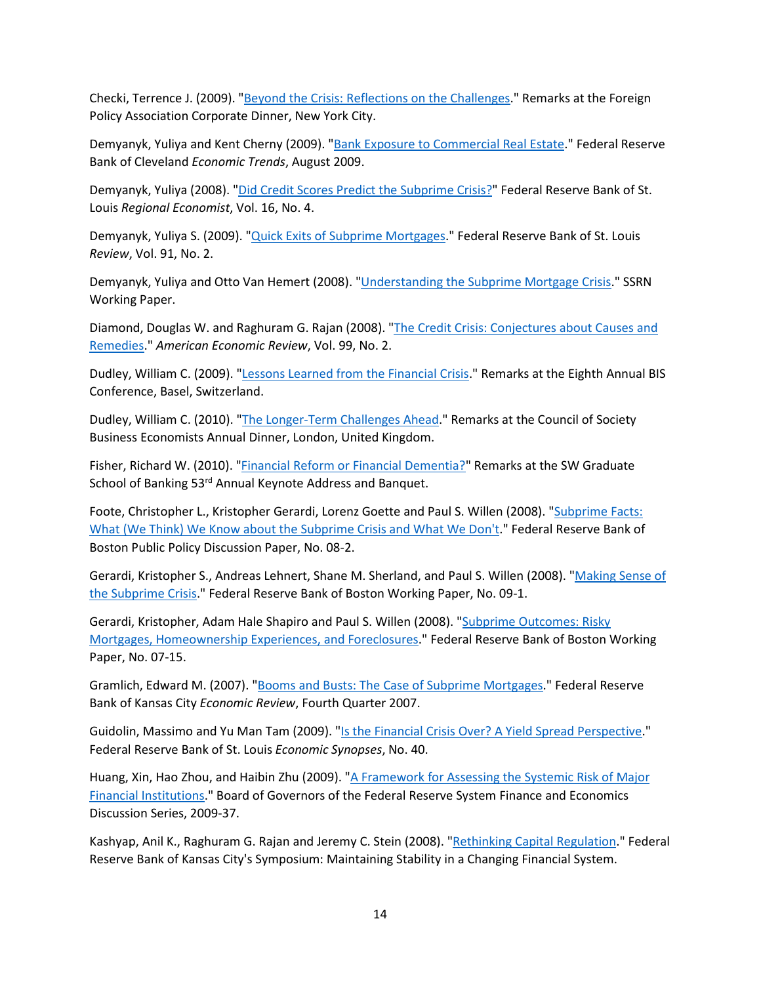Checki, Terrence J. (2009). ["Beyond the Crisis: Reflections on the Challenges.](https://www.newyorkfed.org/newsevents/speeches/2009/che091202.html)" Remarks at the Foreign Policy Association Corporate Dinner, New York City.

Demyanyk, Yuliya and Kent Cherny (2009). ["Bank Exposure to Commercial Real Estate.](https://fraser.stlouisfed.org/title/economic-trends-federal-reserve-bank-cleveland-3952/economic-trends-august-2009-493071/bank-exposure-commercial-real-estate-618913)" Federal Reserve Bank of Cleveland *Economic Trends*, August 2009.

Demyanyk, Yuliya (2008). ["Did Credit Scores Predict the Subprime Crisis?"](https://fraser.stlouisfed.org/title/regional-economist-6275/october-2008-601835/credit-scores-predict-subprime-crisis-584590) Federal Reserve Bank of St. Louis *Regional Economist*, Vol. 16, No. 4.

Demyanyk, Yuliya S. (2009). ["Quick Exits of Subprime Mortgages.](https://research.stlouisfed.org/publications/review/2009/03/02/quick-exits-of-subprime-mortgages)" Federal Reserve Bank of St. Louis *Review*, Vol. 91, No. 2.

Demyanyk, Yuliya and Otto Van Hemert (2008). ["Understanding the Subprime Mortgage Crisis.](https://papers.ssrn.com/sol3/papers.cfm?abstract_id=1020396)" SSRN Working Paper.

Diamond, Douglas W. and Raghuram G. Rajan (2008). ["The Credit Crisis: Conjectures about Causes and](https://www.aeaweb.org/articles?id=10.1257/aer.99.2.606)  [Remedies.](https://www.aeaweb.org/articles?id=10.1257/aer.99.2.606)" *American Economic Review*, Vol. 99, No. 2.

Dudley, William C. (2009). ["Lessons Learned from the Financial Crisis.](https://www.newyorkfed.org/newsevents/speeches/2009/dud090702.html)" Remarks at the Eighth Annual BIS Conference, Basel, Switzerland.

Dudley, William C. (2010). ["The Longer-Term Challenges Ahead.](http://www.newyorkfed.org/newsevents/speeches/2010/dud100311.html)" Remarks at the Council of Society Business Economists Annual Dinner, London, United Kingdom.

Fisher, Richard W. (2010). ["Financial Reform or Financial Dementia?"](https://fraser.stlouisfed.org/title/statements-speeches-richard-w-fisher-6147/financial-reform-financial-dementia-594113) Remarks at the SW Graduate School of Banking 53<sup>rd</sup> Annual Keynote Address and Banquet.

Foote, Christopher L., Kristopher Gerardi, Lorenz Goette and Paul S. Willen (2008). "Subprime Facts: [What \(We Think\) We Know about the Subprime Crisis and What We Don't.](http://www.bos.frb.org/economic/ppdp/2008/ppdp0802.pdf)" Federal Reserve Bank of Boston Public Policy Discussion Paper, No. 08-2.

Gerardi, Kristopher S., Andreas Lehnert, Shane M. Sherland, and Paul S. Willen (2008). ["Making Sense of](http://www.bos.frb.org/economic/ppdp/2009/ppdp0901.pdf)  [the Subprime Crisis.](http://www.bos.frb.org/economic/ppdp/2009/ppdp0901.pdf)" Federal Reserve Bank of Boston Working Paper, No. 09-1.

Gerardi, Kristopher, Adam Hale Shapiro and Paul S. Willen (2008). ["Subprime Outcomes: Risky](https://www.bostonfed.org/-/media/Documents/Workingpapers/PDF/wp0715.pdf)  [Mortgages, Homeownership Experiences, and Foreclosures.](https://www.bostonfed.org/-/media/Documents/Workingpapers/PDF/wp0715.pdf)" Federal Reserve Bank of Boston Working Paper, No. 07-15.

Gramlich, Edward M. (2007). ["Booms and Busts: The Case of Subprime Mortgages.](https://www.kansascityfed.org/documents/956/2007-Booms%20and%20Busts:%20The%20Case%20of%20Subprime%20Mortgages.pdf)" Federal Reserve Bank of Kansas City *Economic Review*, Fourth Quarter 2007.

Guidolin, Massimo and Yu Man Tam (2009). ["Is the Financial Crisis Over? A Yield Spread Perspective.](https://research.stlouisfed.org/publications/economic-synopses/2009/09/21/is-the-financial-crisis-over-a-yield-spread-perspective)" Federal Reserve Bank of St. Louis *Economic Synopses*, No. 40.

Huang, Xin, Hao Zhou, and Haibin Zhu (2009). ["A Framework for Assessing the Systemic Risk of Major](https://fraser.stlouisfed.org/title/a-framework-assessing-systemic-risk-major-financial-institutions-6407)  [Financial Institutions.](https://fraser.stlouisfed.org/title/a-framework-assessing-systemic-risk-major-financial-institutions-6407)" Board of Governors of the Federal Reserve System Finance and Economics Discussion Series, 2009-37.

Kashyap, Anil K., Raghuram G. Rajan and Jeremy C. Stein (2008). ["Rethinking Capital Regulation.](https://www.kansascityfed.org/documents/3175/2008-KashyapRajanStein031209.pdf)" Federal Reserve Bank of Kansas City's Symposium: Maintaining Stability in a Changing Financial System.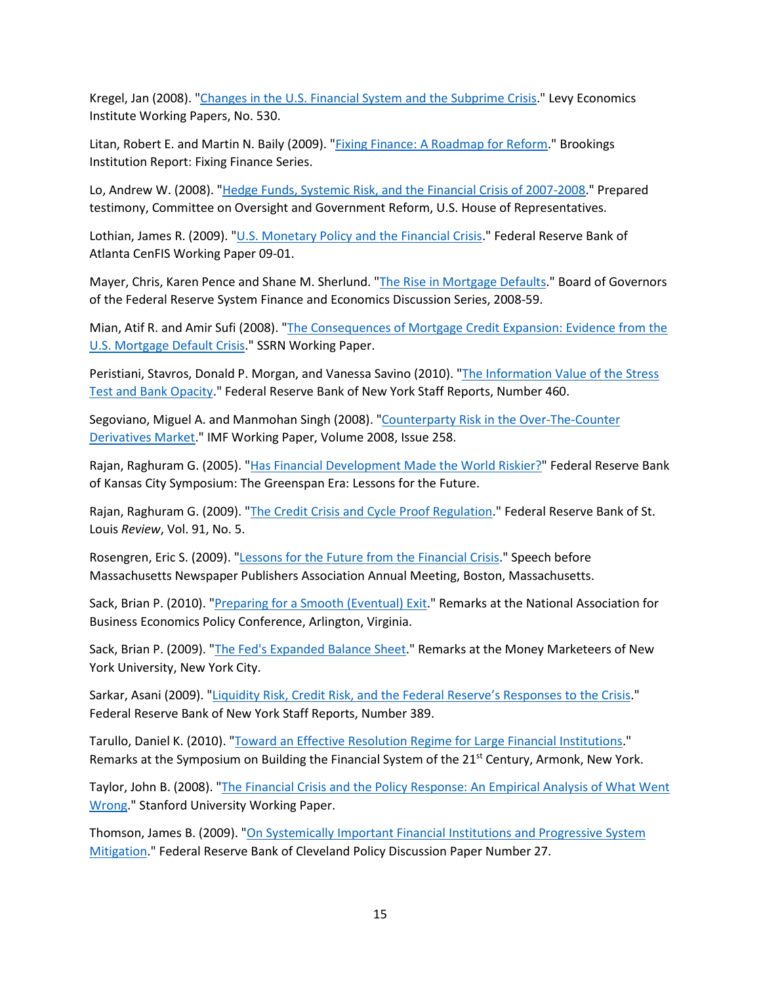Kregel, Jan (2008). ["Changes in the U.S. Financial System and the Subprime Crisis.](https://www.levyinstitute.org/publications/changes-in-the-us-financial-system-and-the-subprime-crisis)" Levy Economics Institute Working Papers, No. 530.

Litan, Robert E. and Martin N. Baily (2009). ["Fixing Finance: A Roadmap for Reform.](https://www.brookings.edu/research/fixing-finance-a-roadmap-for-reform/)" Brookings Institution Report: Fixing Finance Series.

Lo, Andrew W. (2008). ["Hedge Funds, Systemic Risk, and the Financial Crisis of 2007-2008.](https://fraser.stlouisfed.org/title/hedge-funds-financial-market-6405?start_page=31)" Prepared testimony, Committee on Oversight and Government Reform, U.S. House of Representatives.

Lothian, James R. (2009). ["U.S. Monetary Policy and the Financial Crisis.](https://www.atlantafed.org/cenfis/publications/working-papers/0901.aspx)" Federal Reserve Bank of Atlanta CenFIS Working Paper 09-01.

Mayer, Chris, Karen Pence and Shane M. Sherlund. ["The Rise in Mortgage Defaults.](https://fraser.stlouisfed.org/title/rise-mortgage-defaults-6408)" Board of Governors of the Federal Reserve System Finance and Economics Discussion Series, 2008-59.

Mian, Atif R. and Amir Sufi (2008). ["The Consequences of Mortgage Credit Expansion: Evidence from the](https://papers.ssrn.com/sol3/papers.cfm?abstract_id=1072304)  [U.S. Mortgage Default Crisis.](https://papers.ssrn.com/sol3/papers.cfm?abstract_id=1072304)" SSRN Working Paper.

Peristiani, Stavros, Donald P. Morgan, and Vanessa Savino (2010). ["The Information Value of the Stress](https://www.newyorkfed.org/research/staff_reports/sr460.html)  [Test and Bank Opacity.](https://www.newyorkfed.org/research/staff_reports/sr460.html)" Federal Reserve Bank of New York Staff Reports, Number 460.

Segoviano, Miguel A. and Manmohan Singh (2008). ["Counterparty Risk in the Over-The-Counter](https://www.elibrary.imf.org/view/journals/001/2008/258/article-A001-en.xml)  [Derivatives Market.](https://www.elibrary.imf.org/view/journals/001/2008/258/article-A001-en.xml)" IMF Working Paper, Volume 2008, Issue 258.

Rajan, Raghuram G. (2005). ["Has Financial Development Made the World Riskier?"](https://www.kansascityfed.org/documents/3326/PDF-Rajan2005.pdf) Federal Reserve Bank of Kansas City Symposium: The Greenspan Era: Lessons for the Future.

Rajan, Raghuram G. (2009). ["The Credit Crisis and Cycle Proof Regulation.](https://research.stlouisfed.org/publications/review/2009/09/01/the-credit-crisis-and-cycle-proof-regulation)" Federal Reserve Bank of St. Louis *Review*, Vol. 91, No. 5.

Rosengren, Eric S. (2009). ["Lessons for the Future from the Financial Crisis.](https://www.bostonfed.org/news-and-events/speeches/lessons-for-the-future-from-the-financial-crisis.aspx)" Speech before Massachusetts Newspaper Publishers Association Annual Meeting, Boston, Massachusetts.

Sack, Brian P. (2010). ["Preparing for a Smooth \(Eventual\) Exit.](https://www.newyorkfed.org/newsevents/speeches/2010/sac100308.html)" Remarks at the National Association for Business Economics Policy Conference, Arlington, Virginia.

Sack, Brian P. (2009). ["The Fed's Expanded Balance Sheet.](https://www.newyorkfed.org/newsevents/speeches/2009/sac091202.html)" Remarks at the Money Marketeers of New York University, New York City.

Sarkar, Asani (2009). ["Liquidity Risk, Credit Risk, and the Federal Reserve's Responses to the Crisis.](https://www.newyorkfed.org/medialibrary/media/research/staff_reports/sr389.pdf)" Federal Reserve Bank of New York Staff Reports, Number 389.

Tarullo, Daniel K. (2010). ["Toward an Effective Resolution Regime for Large Financial Institutions.](https://fraser.stlouisfed.org/title/statements-speeches-daniel-k-tarullo-910/toward-effective-resolution-regime-large-financial-institutions-35374)" Remarks at the Symposium on Building the Financial System of the 21<sup>st</sup> Century, Armonk, New York.

Taylor, John B. (2008). ["The Financial Crisis and the Policy Response: An Empirical Analysis of What Went](https://web.stanford.edu/%7Ejohntayl/FCPR.pdf)  [Wrong.](https://web.stanford.edu/%7Ejohntayl/FCPR.pdf)" Stanford University Working Paper.

Thomson, James B. (2009). ["On Systemically Important Financial Institutions and Progressive System](https://www.clevelandfed.org/en/newsroom-and-events/publications/discontinued-publications/policy-discussion-papers/pdp-0927-on-systemically-important-financial-institutions.aspx)  [Mitigation.](https://www.clevelandfed.org/en/newsroom-and-events/publications/discontinued-publications/policy-discussion-papers/pdp-0927-on-systemically-important-financial-institutions.aspx)" Federal Reserve Bank of Cleveland Policy Discussion Paper Number 27.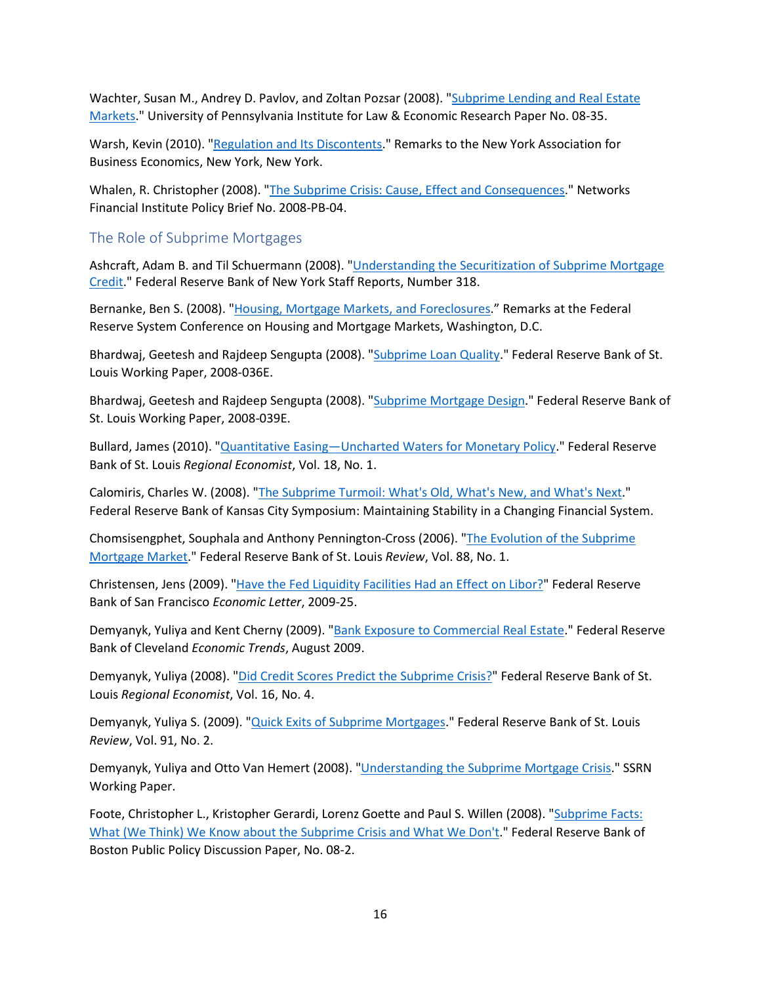Wachter, Susan M., Andrey D. Pavlov, and Zoltan Pozsar (2008). ["Subprime Lending and Real Estate](https://papers.ssrn.com/sol3/papers.cfm?abstract_id=1319757)  [Markets.](https://papers.ssrn.com/sol3/papers.cfm?abstract_id=1319757)" University of Pennsylvania Institute for Law & Economic Research Paper No. 08-35.

Warsh, Kevin (2010). ["Regulation and Its Discontents.](https://fraser.stlouisfed.org/title/statements-speeches-kevin-m-warsh-935/regulation-discontents-36318)" Remarks to the New York Association for Business Economics, New York, New York.

Whalen, R. Christopher (2008). ["The Subprime Crisis: Cause, Effect and Consequences.](https://papers.ssrn.com/sol3/papers.cfm?abstract_id=1113888)" Networks Financial Institute Policy Brief No. 2008-PB-04.

#### <span id="page-15-0"></span>The Role of Subprime Mortgages

Ashcraft, Adam B. and Til Schuermann (2008). "*Understanding the Securitization of Subprime Mortgage* [Credit.](https://www.newyorkfed.org/research/staff_reports/sr318.html)" Federal Reserve Bank of New York Staff Reports, Number 318.

Bernanke, Ben S. (2008). ["Housing, Mortgage Markets, and Foreclosures.](https://fraser.stlouisfed.org/title/statements-speeches-ben-s-bernanke-453/housing-mortgage-markets-foreclosures-9020)" Remarks at the Federal Reserve System Conference on Housing and Mortgage Markets, Washington, D.C.

Bhardwaj, Geetesh and Rajdeep Sengupta (2008). ["Subprime Loan Quality.](https://research.stlouisfed.org/wp/more/2008-036)" Federal Reserve Bank of St. Louis Working Paper, 2008-036E.

Bhardwaj, Geetesh and Rajdeep Sengupta (2008). ["Subprime Mortgage Design.](https://research.stlouisfed.org/wp/more/2008-039)" Federal Reserve Bank of St. Louis Working Paper, 2008-039E.

Bullard, James (2010). ["Quantitative Easing—Uncharted Waters for Monetary Policy.](https://fraser.stlouisfed.org/title/regional-economist-6275/january-2010-601840/president-s-message-584635)" Federal Reserve Bank of St. Louis *Regional Economist*, Vol. 18, No. 1.

Calomiris, Charles W. (2008). ["The Subprime Turmoil: What's Old, What's New, and What's Next.](https://www.kansascityfed.org/documents/3161/2008-Calomiris031209.pdf)" Federal Reserve Bank of Kansas City Symposium: Maintaining Stability in a Changing Financial System.

Chomsisengphet, Souphala and Anthony Pennington-Cross (2006). ["The Evolution of the Subprime](https://research.stlouisfed.org/publications/review/2006/01/01/the-evolution-of-the-subprime-mortgage-market)  [Mortgage Market.](https://research.stlouisfed.org/publications/review/2006/01/01/the-evolution-of-the-subprime-mortgage-market)" Federal Reserve Bank of St. Louis *Review*, Vol. 88, No. 1.

Christensen, Jens (2009). ["Have the Fed Liquidity Facilities Had an Effect on Libor?"](https://www.frbsf.org/economic-research/publications/economic-letter/2009/august/fed-liquidity-libor/) Federal Reserve Bank of San Francisco *Economic Letter*, 2009-25.

Demyanyk, Yuliya and Kent Cherny (2009). ["Bank Exposure to Commercial Real Estate.](https://fraser.stlouisfed.org/title/economic-trends-federal-reserve-bank-cleveland-3952/economic-trends-august-2009-493071/bank-exposure-commercial-real-estate-618913)" Federal Reserve Bank of Cleveland *Economic Trends*, August 2009.

Demyanyk, Yuliya (2008). ["Did Credit Scores Predict the Subprime Crisis?"](https://fraser.stlouisfed.org/title/regional-economist-6275/october-2008-601835/credit-scores-predict-subprime-crisis-584590) Federal Reserve Bank of St. Louis *Regional Economist*, Vol. 16, No. 4.

Demyanyk, Yuliya S. (2009). ["Quick Exits of Subprime Mortgages.](https://research.stlouisfed.org/publications/review/2009/03/02/quick-exits-of-subprime-mortgages)" Federal Reserve Bank of St. Louis *Review*, Vol. 91, No. 2.

Demyanyk, Yuliya and Otto Van Hemert (2008). ["Understanding the Subprime Mortgage Crisis.](https://papers.ssrn.com/sol3/papers.cfm?abstract_id=1020396)" SSRN Working Paper.

Foote, Christopher L., Kristopher Gerardi, Lorenz Goette and Paul S. Willen (2008). ["Subprime Facts:](http://www.bos.frb.org/economic/ppdp/2008/ppdp0802.pdf)  [What \(We Think\) We Know about the Subprime Crisis and What We Don't.](http://www.bos.frb.org/economic/ppdp/2008/ppdp0802.pdf)" Federal Reserve Bank of Boston Public Policy Discussion Paper, No. 08-2.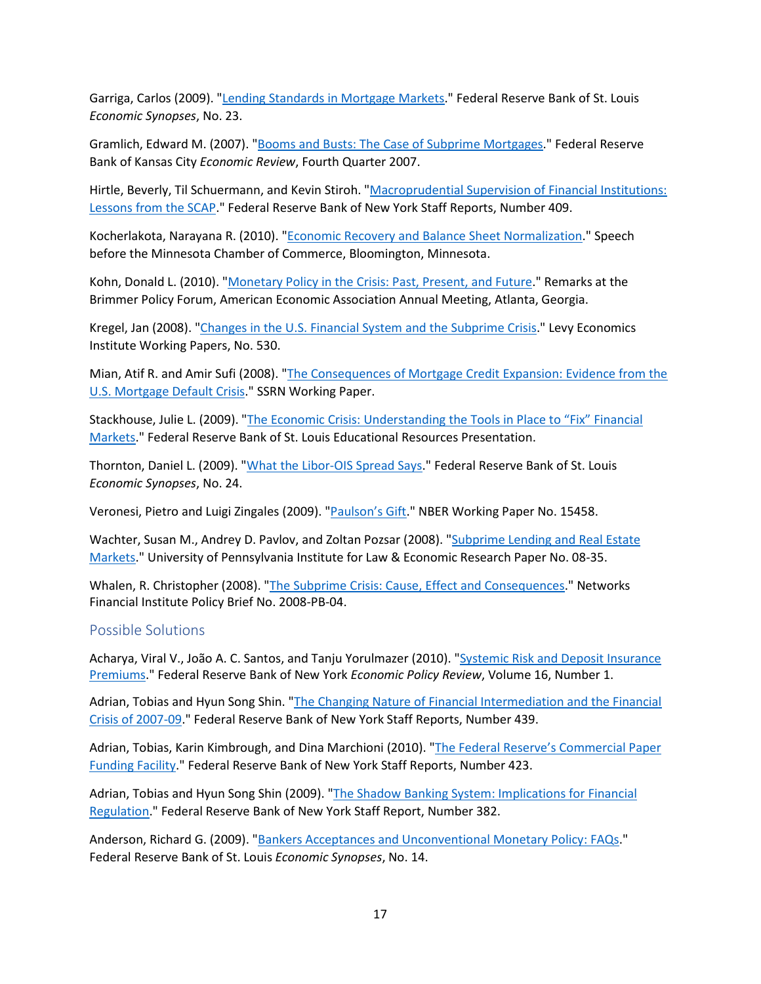Garriga, Carlos (2009). ["Lending Standards in Mortgage Markets.](https://research.stlouisfed.org/publications/economic-synopses/2009/05/06/lending-standards-in-mortgage-markets)" Federal Reserve Bank of St. Louis *Economic Synopses*, No. 23.

Gramlich, Edward M. (2007). ["Booms and Busts: The Case of Subprime Mortgages.](https://www.kansascityfed.org/documents/956/2007-Booms%20and%20Busts:%20The%20Case%20of%20Subprime%20Mortgages.pdf)" Federal Reserve Bank of Kansas City *Economic Review*, Fourth Quarter 2007.

Hirtle, Beverly, Til Schuermann, and Kevin Stiroh. ["Macroprudential Supervision of Financial Institutions:](https://www.newyorkfed.org/research/staff_reports/sr409.html)  [Lessons from the SCAP.](https://www.newyorkfed.org/research/staff_reports/sr409.html)" Federal Reserve Bank of New York Staff Reports, Number 409.

Kocherlakota, Narayana R. (2010). ["Economic Recovery and Balance Sheet Normalization.](http://www.minneapolisfed.org/news_events/pres/speech_display.cfm?id=4417)" Speech before the Minnesota Chamber of Commerce, Bloomington, Minnesota.

Kohn, Donald L. (2010). ["Monetary Policy in the Crisis: Past, Present, and Future.](https://fraser.stlouisfed.org/title/statements-speeches-donald-l-kohn-464/monetary-policy-crisis-past-present-future-10515)" Remarks at the Brimmer Policy Forum, American Economic Association Annual Meeting, Atlanta, Georgia.

Kregel, Jan (2008). ["Changes in the U.S. Financial System and the Subprime Crisis.](https://www.levyinstitute.org/publications/changes-in-the-us-financial-system-and-the-subprime-crisis)" Levy Economics Institute Working Papers, No. 530.

Mian, Atif R. and Amir Sufi (2008). ["The Consequences of Mortgage Credit Expansion: Evidence from the](https://papers.ssrn.com/sol3/papers.cfm?abstract_id=1072304)  [U.S. Mortgage Default Crisis.](https://papers.ssrn.com/sol3/papers.cfm?abstract_id=1072304)" SSRN Working Paper.

Stackhouse, Julie L. (2009). ["The Economic Crisis: Understanding the Tools in Place to "Fix" Financial](https://www.stlouisfed.org/-/media/project/frbstl/stlouisfed/files/pdfs/financial-crisis/stackhousepresentation05-2009.pdf)  [Markets.](https://www.stlouisfed.org/-/media/project/frbstl/stlouisfed/files/pdfs/financial-crisis/stackhousepresentation05-2009.pdf)" Federal Reserve Bank of St. Louis Educational Resources Presentation.

Thornton, Daniel L. (2009). ["What the Libor-OIS Spread Says.](https://research.stlouisfed.org/publications/economic-synopses/2009/05/11/what-the-libor-ois-spread-says)" Federal Reserve Bank of St. Louis *Economic Synopses*, No. 24.

Veronesi, Pietro and Luigi Zingales (2009). ["Paulson's Gift.](https://www.nber.org/papers/w15458)" NBER Working Paper No. 15458.

Wachter, Susan M., Andrey D. Pavlov, and Zoltan Pozsar (2008). ["Subprime Lending and Real Estate](https://papers.ssrn.com/sol3/papers.cfm?abstract_id=1319757)  [Markets.](https://papers.ssrn.com/sol3/papers.cfm?abstract_id=1319757)" University of Pennsylvania Institute for Law & Economic Research Paper No. 08-35.

Whalen, R. Christopher (2008). ["The Subprime Crisis: Cause, Effect and Consequences.](https://papers.ssrn.com/sol3/papers.cfm?abstract_id=1113888)" Networks Financial Institute Policy Brief No. 2008-PB-04.

#### <span id="page-16-0"></span>Possible Solutions

Acharya, Viral V., João A. C. Santos, and Tanju Yorulmazer (2010). ["Systemic Risk and Deposit Insurance](https://www.newyorkfed.org/medialibrary/media/research/epr/10v16n1/1008yoru.pdf)  [Premiums.](https://www.newyorkfed.org/medialibrary/media/research/epr/10v16n1/1008yoru.pdf)" Federal Reserve Bank of New York *Economic Policy Review*, Volume 16, Number 1.

Adrian, Tobias and Hyun Song Shin. ["The Changing Nature of Financial Intermediation and the Financial](https://www.newyorkfed.org/research/staff_reports/sr439.html)  [Crisis of 2007-09.](https://www.newyorkfed.org/research/staff_reports/sr439.html)" Federal Reserve Bank of New York Staff Reports, Number 439.

Adrian, Tobias, Karin Kimbrough, and Dina Marchioni (2010). ["The Federal Reserve's Commercial Paper](https://www.newyorkfed.org/research/staff_reports/sr423.html)  [Funding Facility.](https://www.newyorkfed.org/research/staff_reports/sr423.html)" Federal Reserve Bank of New York Staff Reports, Number 423.

Adrian, Tobias and Hyun Song Shin (2009). ["The Shadow Banking System: Implications for Financial](https://www.newyorkfed.org/research/staff_reports/sr382.html)  [Regulation.](https://www.newyorkfed.org/research/staff_reports/sr382.html)" Federal Reserve Bank of New York Staff Report, Number 382.

Anderson, Richard G. (2009). ["Bankers Acceptances and Unconventional Monetary Policy: FAQs.](https://research.stlouisfed.org/publications/economic-synopses/2009/03/18/bankers-acceptances-and-unconventional-monetary-policy-faqs)" Federal Reserve Bank of St. Louis *Economic Synopses*, No. 14.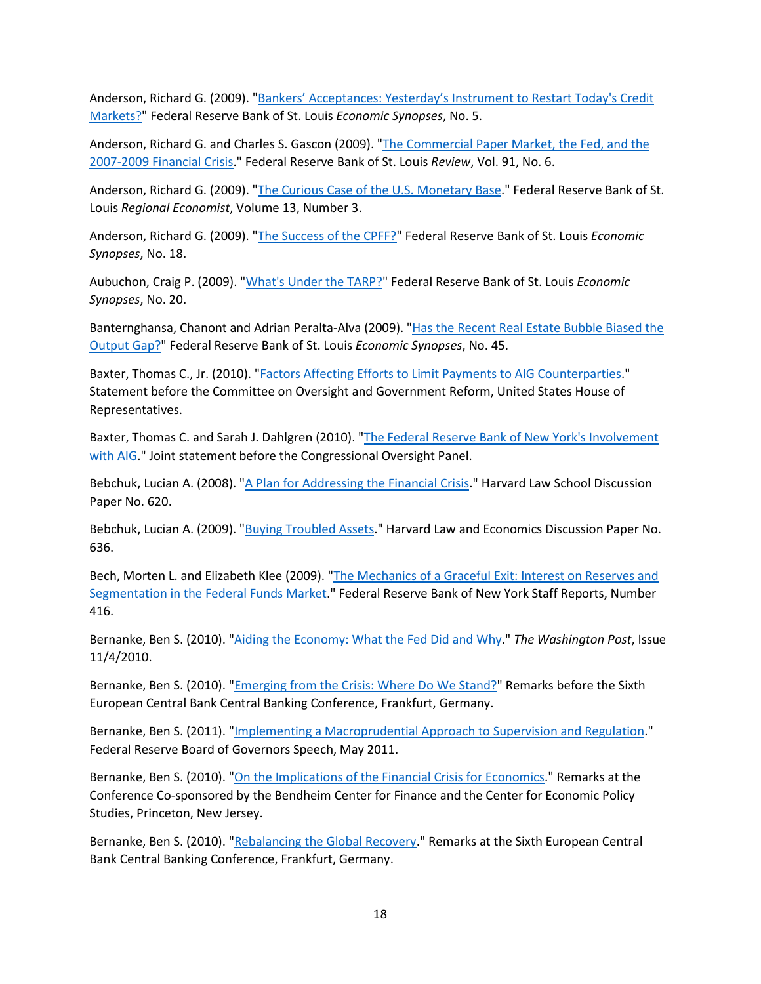Anderson, Richard G. (2009). ["Bankers' Acceptances: Yesterday's Instrument to Restart Today's Credit](https://research.stlouisfed.org/publications/economic-synopses/2009/01/09/bankers-acceptances-yesterdays-instrument-to-restart-todays-credit-markets)  [Markets?"](https://research.stlouisfed.org/publications/economic-synopses/2009/01/09/bankers-acceptances-yesterdays-instrument-to-restart-todays-credit-markets) Federal Reserve Bank of St. Louis *Economic Synopses*, No. 5.

Anderson, Richard G. and Charles S. Gascon (2009). ["The Commercial Paper Market, the Fed, and the](https://research.stlouisfed.org/publications/review/2009/11/02/the-commercial-paper-market-the-fed-and-the-2007-2009-financial-crisis)  [2007-2009 Financial Crisis.](https://research.stlouisfed.org/publications/review/2009/11/02/the-commercial-paper-market-the-fed-and-the-2007-2009-financial-crisis)" Federal Reserve Bank of St. Louis *Review*, Vol. 91, No. 6.

Anderson, Richard G. (2009). ["The Curious Case of the U.S. Monetary Base.](https://fraser.stlouisfed.org/title/regional-economist-6275/july-2009-601838/curious-case-us-monetary-base-584618)" Federal Reserve Bank of St. Louis *Regional Economist*, Volume 13, Number 3.

Anderson, Richard G. (2009). ["The Success of the CPFF?"](https://research.stlouisfed.org/publications/economic-synopses/2009/04/07/the-success-of-the-cpff) Federal Reserve Bank of St. Louis *Economic Synopses*, No. 18.

Aubuchon, Craig P. (2009). ["What's Under the TARP?"](https://research.stlouisfed.org/publications/economic-synopses/2009/04/15/whats-under-the-tarp) Federal Reserve Bank of St. Louis *Economic Synopses*, No. 20.

Banternghansa, Chanont and Adrian Peralta-Alva (2009). ["Has the Recent Real Estate Bubble Biased the](https://research.stlouisfed.org/publications/economic-synopses/2009/12/16/has-the-recent-real-estate-bubble-biased-the-output-gap)  [Output Gap?"](https://research.stlouisfed.org/publications/economic-synopses/2009/12/16/has-the-recent-real-estate-bubble-biased-the-output-gap) Federal Reserve Bank of St. Louis *Economic Synopses*, No. 45.

Baxter, Thomas C., Jr. (2010). ["Factors Affecting Efforts to Limit Payments to AIG Counterparties.](https://fraser.stlouisfed.org/title/5135?start_page=186)" Statement before the Committee on Oversight and Government Reform, United States House of Representatives.

Baxter, Thomas C. and Sarah J. Dahlgren (2010). ["The Federal Reserve Bank of New York's Involvement](https://fraser.stlouisfed.org/title/4998?start_page=50)  [with AIG.](https://fraser.stlouisfed.org/title/4998?start_page=50)" Joint statement before the Congressional Oversight Panel.

Bebchuk, Lucian A. (2008). ["A Plan for Addressing the Financial Crisis.](http://www.law.harvard.edu/faculty/bebchuk/pdfs/Olin620_Addressing-Financial-Crisis.pdf)" Harvard Law School Discussion Paper No. 620.

Bebchuk, Lucian A. (2009). ["Buying Troubled Assets.](https://papers.ssrn.com/sol3/papers.cfm?abstract_id=1392808)" Harvard Law and Economics Discussion Paper No. 636.

Bech, Morten L. and Elizabeth Klee (2009). ["The Mechanics of a Graceful Exit: Interest on Reserves and](https://www.newyorkfed.org/research/staff_reports/sr416.html)  [Segmentation in the Federal Funds Market.](https://www.newyorkfed.org/research/staff_reports/sr416.html)" Federal Reserve Bank of New York Staff Reports, Number 416.

Bernanke, Ben S. (2010). ["Aiding the Economy: What the Fed Did and Why.](https://www.federalreserve.gov/newsevents/other/files/bernankeoped20101104.pdf)" *The Washington Post*, Issue 11/4/2010.

Bernanke, Ben S. (2010). ["Emerging from the Crisis: Where Do We Stand?"](https://fraser.stlouisfed.org/title/statements-speeches-ben-s-bernanke-453/emerging-crisis-stand-9092) Remarks before the Sixth European Central Bank Central Banking Conference, Frankfurt, Germany.

Bernanke, Ben S. (2011). ["Implementing a Macroprudential Approach to Supervision and Regulation.](https://fraser.stlouisfed.org/title/statements-speeches-ben-s-bernanke-453/implementing-a-macroprudential-approach-supervision-regulation-9107)" Federal Reserve Board of Governors Speech, May 2011.

Bernanke, Ben S. (2010). ["On the Implications of the Financial Crisis for Economics.](https://fraser.stlouisfed.org/title/statements-speeches-ben-s-bernanke-453/implication-financial-crisis-economics-9084)" Remarks at the Conference Co-sponsored by the Bendheim Center for Finance and the Center for Economic Policy Studies, Princeton, New Jersey.

Bernanke, Ben S. (2010). ["Rebalancing the Global Recovery.](https://fraser.stlouisfed.org/title/statements-speeches-ben-s-bernanke-453/rebalancing-global-recovery-9091)" Remarks at the Sixth European Central Bank Central Banking Conference, Frankfurt, Germany.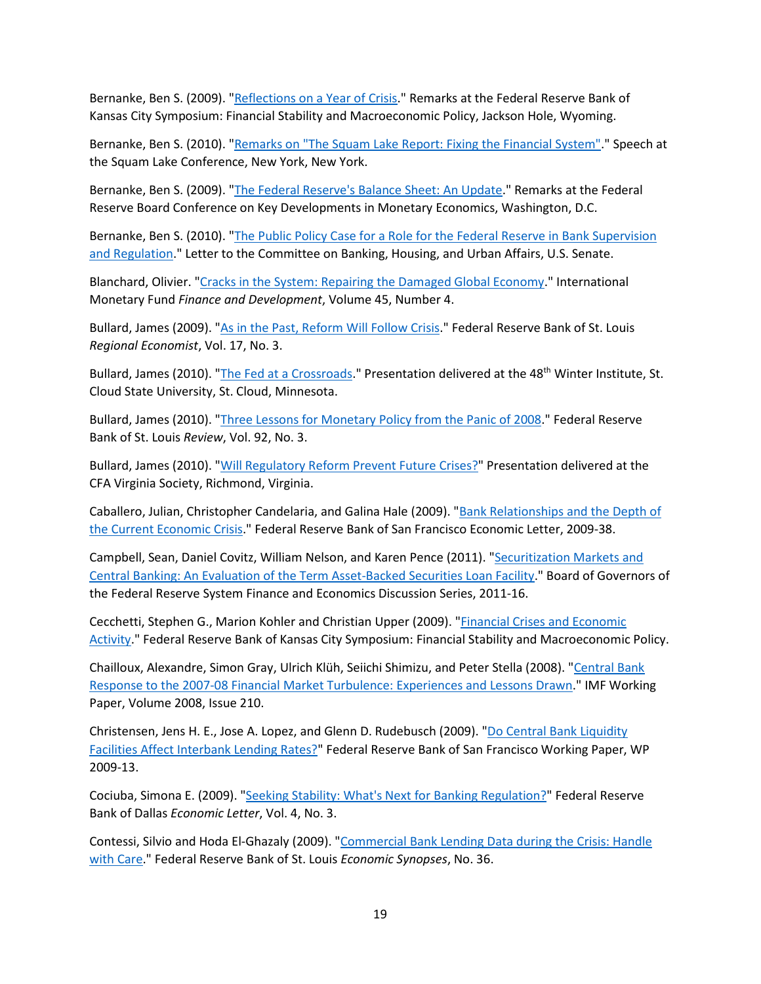Bernanke, Ben S. (2009). ["Reflections on a Year of Crisis.](https://fraser.stlouisfed.org/title/statements-speeches-ben-s-bernanke-453/reflections-a-year-crisis-9045)" Remarks at the Federal Reserve Bank of Kansas City Symposium: Financial Stability and Macroeconomic Policy, Jackson Hole, Wyoming.

Bernanke, Ben S. (2010). ["Remarks on "The Squam Lake Report: Fixing the Financial System".](https://fraser.stlouisfed.org/title/statements-speeches-ben-s-bernanke-453/remarks-squam-lake-report-fixing-financial-system-a-speech-squam-lake-conference-new-york-new-york-june-16-2010-9077)" Speech at the Squam Lake Conference, New York, New York.

Bernanke, Ben S. (2009). ["The Federal Reserve's Balance Sheet: An Update.](https://fraser.stlouisfed.org/title/statements-speeches-ben-s-bernanke-453/federal-reserve-s-balance-sheet-update-9049)" Remarks at the Federal Reserve Board Conference on Key Developments in Monetary Economics, Washington, D.C.

Bernanke, Ben S. (2010). ["The Public Policy Case for a Role for the Federal Reserve in Bank Supervision](https://fraser.stlouisfed.org/archival-collection/board-governors-federal-reserve-system-4966/letter-committee-banking-housing-urban-affairs-610015?start_page=2)  [and Regulation.](https://fraser.stlouisfed.org/archival-collection/board-governors-federal-reserve-system-4966/letter-committee-banking-housing-urban-affairs-610015?start_page=2)" Letter to the Committee on Banking, Housing, and Urban Affairs, U.S. Senate.

Blanchard, Olivier. ["Cracks in the System: Repairing the Damaged Global Economy.](https://www.imf.org/external/pubs/ft/fandd/2008/12/blanchard.htm)" International Monetary Fund *Finance and Development*, Volume 45, Number 4.

Bullard, James (2009). ["As in the Past, Reform Will Follow Crisis.](https://fraser.stlouisfed.org/title/regional-economist-6275/july-2009-601838/president-s-message-584615)" Federal Reserve Bank of St. Louis *Regional Economist*, Vol. 17, No. 3.

Bullard, James (2010). ["The Fed at a Crossroads.](https://www.stlouisfed.org/from-the-president/-/media/project/frbstl/stlouisfed/files/pdfs/bullard/remarks/bullardwinterinstitutefinal.pdf)" Presentation delivered at the 48<sup>th</sup> Winter Institute, St. Cloud State University, St. Cloud, Minnesota.

Bullard, James (2010). ["Three Lessons for Monetary Policy from the Panic of 2008.](https://research.stlouisfed.org/publications/review/2010/05/03/three-lessons-for-monetary-policy-from-the-panic-of-2008)" Federal Reserve Bank of St. Louis *Review*, Vol. 92, No. 3.

Bullard, James (2010). ["Will Regulatory Reform Prevent Future Crises?"](https://www.stlouisfed.org/from-the-president/-/media/project/frbstl/stlouisfed/files/pdfs/bullard/remarks/cfavirginia23february2010final5pm.pdf) Presentation delivered at the CFA Virginia Society, Richmond, Virginia.

Caballero, Julian, Christopher Candelaria, and Galina Hale (2009). ["Bank Relationships and the Depth of](https://www.frbsf.org/economic-research/publications/economic-letter/2009/december/bank-relationships-economic-crisis/)  [the Current Economic Crisis.](https://www.frbsf.org/economic-research/publications/economic-letter/2009/december/bank-relationships-economic-crisis/)" Federal Reserve Bank of San Francisco Economic Letter, 2009-38.

Campbell, Sean, Daniel Covitz, William Nelson, and Karen Pence (2011). ["Securitization Markets and](https://fraser.stlouisfed.org/title/securitization-markets-central-banking-6411)  [Central Banking: An Evaluation of the Term Asset-Backed Securities Loan Facility.](https://fraser.stlouisfed.org/title/securitization-markets-central-banking-6411)" Board of Governors of the Federal Reserve System Finance and Economics Discussion Series, 2011-16.

Cecchetti, Stephen G., Marion Kohler and Christian Upper (2009). ["Financial Crises and Economic](https://www.kansascityfed.org/documents/3135/papers-CecchettiKohlerUpper091109.pdf)  [Activity.](https://www.kansascityfed.org/documents/3135/papers-CecchettiKohlerUpper091109.pdf)" Federal Reserve Bank of Kansas City Symposium: Financial Stability and Macroeconomic Policy.

Chailloux, Alexandre, Simon Gray, Ulrich Klüh, Seiichi Shimizu, and Peter Stella (2008). ["Central Bank](https://www.elibrary.imf.org/view/journals/001/2008/210/article-A001-en.xml)  [Response to the 2007-08 Financial Market Turbulence: Experiences and Lessons Drawn.](https://www.elibrary.imf.org/view/journals/001/2008/210/article-A001-en.xml)" IMF Working Paper, Volume 2008, Issue 210.

Christensen, Jens H. E., Jose A. Lopez, and Glenn D. Rudebusch (2009). "Do Central Bank Liquidity [Facilities Affect Interbank Lending Rates?"](https://www.frbsf.org/economic-research/publications/working-papers/2009/13/) Federal Reserve Bank of San Francisco Working Paper, WP 2009-13.

Cociuba, Simona E. (2009). ["Seeking Stability: What's Next for Banking Regulation?"](https://fraser.stlouisfed.org/title/economic-letter-6362/seeking-stability-607626) Federal Reserve Bank of Dallas *Economic Letter*, Vol. 4, No. 3.

Contessi, Silvio and Hoda El-Ghazaly (2009). ["Commercial Bank Lending Data during the Crisis: Handle](https://research.stlouisfed.org/publications/economic-synopses/2009/08/06/commercial-bank-lending-data-during-the-crisis-handle-with-care)  [with Care.](https://research.stlouisfed.org/publications/economic-synopses/2009/08/06/commercial-bank-lending-data-during-the-crisis-handle-with-care)" Federal Reserve Bank of St. Louis *Economic Synopses*, No. 36.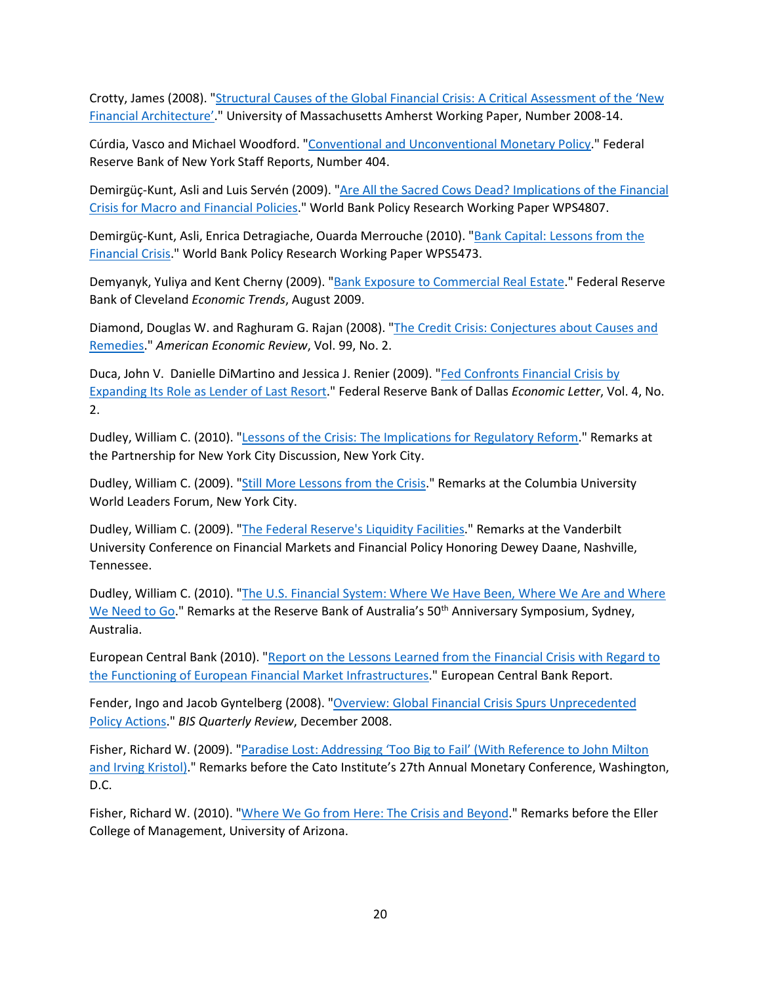Crotty, James (2008). ["Structural Causes of the Global Financial Crisis: A Critical Assessment of the 'New](https://scholarworks.umass.edu/econ_workingpaper/16/)  [Financial Architecture'.](https://scholarworks.umass.edu/econ_workingpaper/16/)" University of Massachusetts Amherst Working Paper, Number 2008-14.

Cúrdia, Vasco and Michael Woodford. ["Conventional and Unconventional Monetary Policy.](https://www.newyorkfed.org/research/staff_reports/sr404.html)" Federal Reserve Bank of New York Staff Reports, Number 404.

Demirgüç-Kunt, Asli and Luis Servén (2009). ["Are All the Sacred Cows Dead? Implications of the Financial](https://documents.worldbank.org/en/publication/documents-reports/documentdetail/100541468157778616/are-all-the-sacred-cows-dead-implications-of-the-financial-crisis-for-macro-and-financial-policies)  [Crisis for Macro and Financial Policies.](https://documents.worldbank.org/en/publication/documents-reports/documentdetail/100541468157778616/are-all-the-sacred-cows-dead-implications-of-the-financial-crisis-for-macro-and-financial-policies)" World Bank Policy Research Working Paper WPS4807.

Demirgüç-Kunt, Asli, Enrica Detragiache, Ouarda Merrouche (2010). ["Bank Capital: Lessons from the](https://documents.worldbank.org/en/publication/documents-reports/documentdetail/568301468325454646/bank-capital-lessons-from-the-financial-crisis)  [Financial Crisis.](https://documents.worldbank.org/en/publication/documents-reports/documentdetail/568301468325454646/bank-capital-lessons-from-the-financial-crisis)" World Bank Policy Research Working Paper WPS5473.

Demyanyk, Yuliya and Kent Cherny (2009). ["Bank Exposure to Commercial Real Estate.](https://fraser.stlouisfed.org/title/economic-trends-federal-reserve-bank-cleveland-3952/economic-trends-august-2009-493071/bank-exposure-commercial-real-estate-618913)" Federal Reserve Bank of Cleveland *Economic Trends*, August 2009.

Diamond, Douglas W. and Raghuram G. Rajan (2008). ["The Credit Crisis: Conjectures about Causes and](https://www.aeaweb.org/articles?id=10.1257/aer.99.2.606)  [Remedies.](https://www.aeaweb.org/articles?id=10.1257/aer.99.2.606)" *American Economic Review*, Vol. 99, No. 2.

Duca, John V. Danielle DiMartino and Jessica J. Renier (2009). ["Fed Confronts Financial Crisis by](https://fraser.stlouisfed.org/title/economic-letter-6362/fed-confronts-financial-crisis-expanding-role-lender-last-resort-607625)  [Expanding Its Role as Lender of Last Resort.](https://fraser.stlouisfed.org/title/economic-letter-6362/fed-confronts-financial-crisis-expanding-role-lender-last-resort-607625)" Federal Reserve Bank of Dallas *Economic Letter*, Vol. 4, No. 2.

Dudley, William C. (2010). ["Lessons of the Crisis: The Implications for Regulatory Reform.](http://www.newyorkfed.org/newsevents/speeches/2010/dud100120.html)" Remarks at the Partnership for New York City Discussion, New York City.

Dudley, William C. (2009). ["Still More Lessons from the Crisis.](https://www.newyorkfed.org/newsevents/speeches/2009/dud091207.html)" Remarks at the Columbia University World Leaders Forum, New York City.

Dudley, William C. (2009). ["The Federal Reserve's Liquidity Facilities.](https://www.newyorkfed.org/newsevents/speeches/2009/dud090418.html)" Remarks at the Vanderbilt University Conference on Financial Markets and Financial Policy Honoring Dewey Daane, Nashville, Tennessee.

Dudley, William C. (2010). ["The U.S. Financial System: Where We Have Been, Where We Are and Where](http://www.newyorkfed.org/newsevents/speeches/2010/dud100208.html)  [We Need to Go.](http://www.newyorkfed.org/newsevents/speeches/2010/dud100208.html)" Remarks at the Reserve Bank of Australia's 50<sup>th</sup> Anniversary Symposium, Sydney, Australia.

European Central Bank (2010). ["Report on the Lessons Learned from the Financial Crisis with Regard to](https://www.ecb.europa.eu/pub/pdf/other/reportlessonslearnedfinancialcrisis201004en.pdf?37938564eef4eb5a05c5d50ed6d83246)  [the Functioning of European Financial Market Infrastructures.](https://www.ecb.europa.eu/pub/pdf/other/reportlessonslearnedfinancialcrisis201004en.pdf?37938564eef4eb5a05c5d50ed6d83246)" European Central Bank Report.

Fender, Ingo and Jacob Gyntelberg (2008). "Overview: Global Financial Crisis Spurs Unprecedented [Policy Actions.](http://www.bis.org/publ/qtrpdf/r_qt0812a.pdf)" *BIS Quarterly Review*, December 2008.

Fisher, Richard W. (2009). ["Paradise Lost: Addressing 'Too Big to Fail' \(With Reference to John Milton](https://fraser.stlouisfed.org/title/statements-speeches-richard-w-fisher-6147/paradise-lost-addressing-big-fail-reference-john-milton-irving-kristol-594105)  [and Irving Kristol\).](https://fraser.stlouisfed.org/title/statements-speeches-richard-w-fisher-6147/paradise-lost-addressing-big-fail-reference-john-milton-irving-kristol-594105)" Remarks before the Cato Institute's 27th Annual Monetary Conference, Washington, D.C.

Fisher, Richard W. (2010). ["Where We Go from Here: The Crisis and Beyond.](https://fraser.stlouisfed.org/title/statements-speeches-richard-w-fisher-6147/go-crisis-beyond-reference-pg-wodehouse-john-kenneth-galbraith-alan-greenspan-unnamed-eller-college-student-594111)" Remarks before the Eller College of Management, University of Arizona.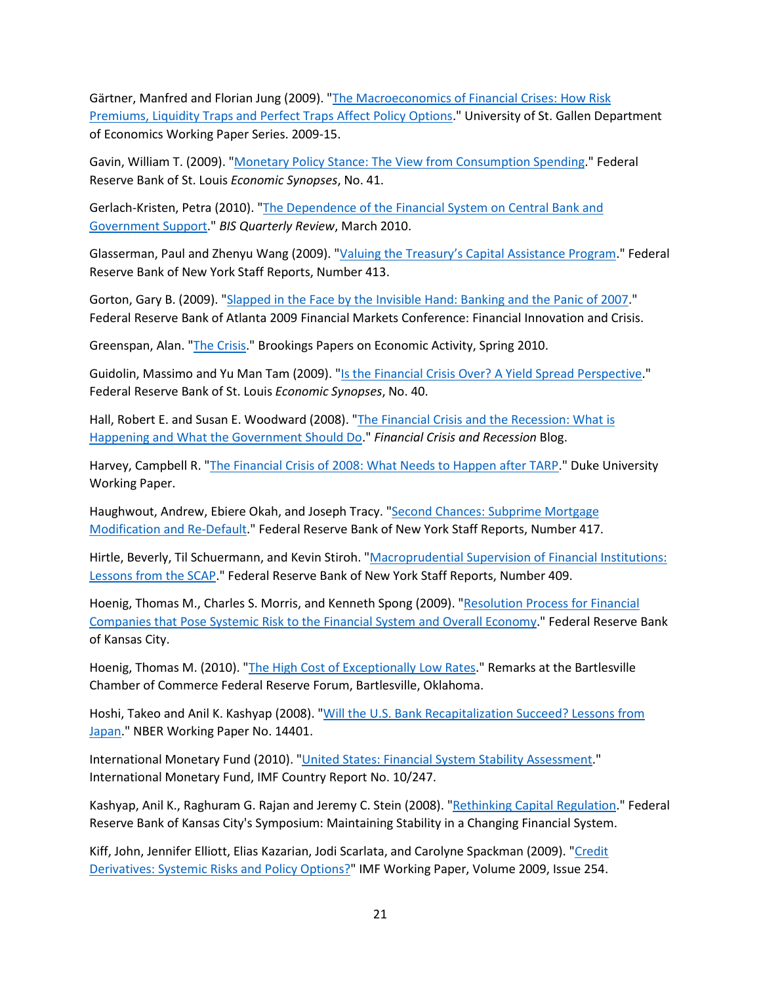Gärtner, Manfred and Florian Jung (2009). ["The Macroeconomics of Financial Crises: How Risk](http://ux-tauri.unisg.ch/RePEc/usg/dp2009/DP-0915-Ga.pdf)  [Premiums, Liquidity Traps and Perfect Traps Affect Policy Options.](http://ux-tauri.unisg.ch/RePEc/usg/dp2009/DP-0915-Ga.pdf)" University of St. Gallen Department of Economics Working Paper Series. 2009-15.

Gavin, William T. (2009). ["Monetary Policy Stance: The View from Consumption Spending.](https://research.stlouisfed.org/publications/economic-synopses/2009/10/22/monetary-policy-stance-the-view-from-consumption-spending)" Federal Reserve Bank of St. Louis *Economic Synopses*, No. 41.

Gerlach-Kristen, Petra (2010). ["The Dependence of the Financial System on Central Bank and](https://www.bis.org/publ/qtrpdf/r_qt1003g.htm)  [Government Support.](https://www.bis.org/publ/qtrpdf/r_qt1003g.htm)" *BIS Quarterly Review*, March 2010.

Glasserman, Paul and Zhenyu Wang (2009). ["Valuing the Treasury's Capital Assistance Program.](https://www.newyorkfed.org/research/staff_reports/sr413.html)" Federal Reserve Bank of New York Staff Reports, Number 413.

Gorton, Gary B. (2009). "Slapped in the [Face by the Invisible Hand: Banking and the Panic of 2007.](https://www.atlantafed.org/-/media/documents/news/conferences/2009/financial-markets-conference/gorton.pdf)" Federal Reserve Bank of Atlanta 2009 Financial Markets Conference: Financial Innovation and Crisis.

Greenspan, Alan. ["The Crisis.](https://www.brookings.edu/bpea-articles/the-crisis/)" Brookings Papers on Economic Activity, Spring 2010.

Guidolin, Massimo and Yu Man Tam (2009). ["Is the Financial Crisis Over? A Yield Spread Perspective.](https://research.stlouisfed.org/publications/economic-synopses/2009/09/21/is-the-financial-crisis-over-a-yield-spread-perspective)" Federal Reserve Bank of St. Louis *Economic Synopses*, No. 40.

Hall, Robert E. and Susan E. Woodward (2008). ["The Financial Crisis and the Recession: What](https://woodwardhall.wordpress.com/) is [Happening and What the Government Should Do.](https://woodwardhall.wordpress.com/)" *Financial Crisis and Recession* Blog.

Harvey, Campbell R. ["The Financial Crisis of 2008: What Needs to Happen after TARP.](https://faculty.fuqua.duke.edu/%7Echarvey/Crisis/Harvey-v3.pdf)" Duke University Working Paper.

Haughwout, Andrew, Ebiere Okah, and Joseph Tracy. "Second Chances: Subprime Mortgage [Modification and Re-Default.](https://www.newyorkfed.org/research/staff_reports/sr417.html)" Federal Reserve Bank of New York Staff Reports, Number 417.

Hirtle, Beverly, Til Schuermann, and Kevin Stiroh. ["Macroprudential Supervision of Financial Institutions:](https://www.newyorkfed.org/research/staff_reports/sr409.html)  [Lessons from the SCAP.](https://www.newyorkfed.org/research/staff_reports/sr409.html)" Federal Reserve Bank of New York Staff Reports, Number 409.

Hoenig, Thomas M., Charles S. Morris, and Kenneth Spong (2009). ["Resolution Process for Financial](http://web.archive.org/web/20100703102701/https:/www.kansascityfed.org/speechbio/resolutionprocess.09.03.09.pdf)  [Companies that Pose Systemic Risk to the Financial System and Overall Economy.](http://web.archive.org/web/20100703102701/https:/www.kansascityfed.org/speechbio/resolutionprocess.09.03.09.pdf)" Federal Reserve Bank of Kansas City.

Hoenig, Thomas M. (2010). ["The High Cost of Exceptionally Low Rates.](https://www.kansascityfed.org/documents/2512/speeches-bartlesville060310.pdf)" Remarks at the Bartlesville Chamber of Commerce Federal Reserve Forum, Bartlesville, Oklahoma.

Hoshi, Takeo and Anil K. Kashyap (2008). "Will the U.S. Bank Recapitalization Succeed? Lessons from [Japan.](https://www.nber.org/papers/w14401)" NBER Working Paper No. 14401.

International Monetary Fund (2010). ["United States: Financial System Stability Assessment.](https://www.imf.org/en/Publications/CR/Issues/2016/12/31/United-States-Publication-of-Financial-Sector-Assessment-Program-Documentation-Financial-24105)" International Monetary Fund, IMF Country Report No. 10/247.

Kashyap, Anil K., Raghuram G. Rajan and Jeremy C. Stein (2008). ["Rethinking Capital Regulation.](https://www.kansascityfed.org/documents/3175/2008-KashyapRajanStein031209.pdf)" Federal Reserve Bank of Kansas City's Symposium: Maintaining Stability in a Changing Financial System.

Kiff, John, Jennifer Elliott, Elias Kazarian, Jodi Scarlata, and Carolyne Spackman (2009). ["Credit](https://www.elibrary.imf.org/view/journals/001/2009/254/article-A001-en.xml)  [Derivatives: Systemic Risks and Policy Options?"](https://www.elibrary.imf.org/view/journals/001/2009/254/article-A001-en.xml) IMF Working Paper, Volume 2009, Issue 254.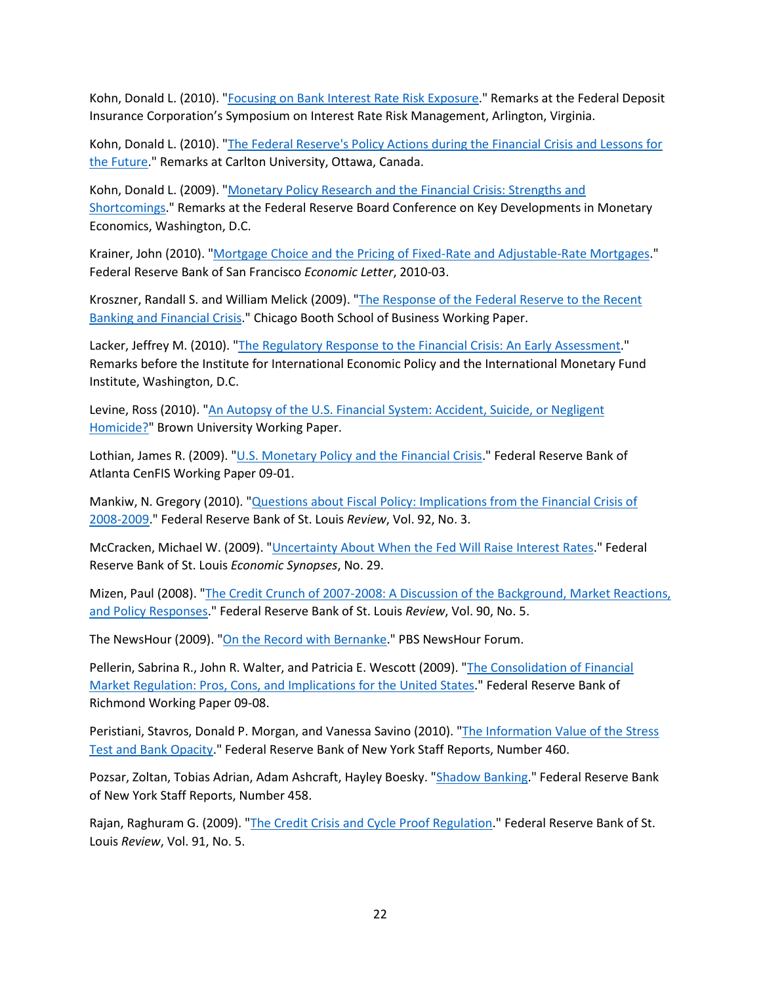Kohn, Donald L. (2010). ["Focusing on Bank Interest Rate Risk Exposure.](https://fraser.stlouisfed.org/title/statements-speeches-donald-l-kohn-464/focusing-bank-interest-rate-risk-exposure-10516)" Remarks at the Federal Deposit Insurance Corporation's Symposium on Interest Rate Risk Management, Arlington, Virginia.

Kohn, Donald L. (2010). ["The Federal Reserve's Policy Actions during the Financial Crisis and Lessons for](https://fraser.stlouisfed.org/title/statements-speeches-donald-l-kohn-464/federal-reserve-s-policy-actions-financial-crisis-lessons-future-10520)  [the Future.](https://fraser.stlouisfed.org/title/statements-speeches-donald-l-kohn-464/federal-reserve-s-policy-actions-financial-crisis-lessons-future-10520)" Remarks at Carlton University, Ottawa, Canada.

Kohn, Donald L. (2009). ["Monetary Policy Research and the Financial Crisis: Strengths and](https://fraser.stlouisfed.org/title/statements-speeches-donald-l-kohn-464/monetary-policy-research-financial-crisis-strengths-shortcomings-10512)  [Shortcomings.](https://fraser.stlouisfed.org/title/statements-speeches-donald-l-kohn-464/monetary-policy-research-financial-crisis-strengths-shortcomings-10512)" Remarks at the Federal Reserve Board Conference on Key Developments in Monetary Economics, Washington, D.C.

Krainer, John (2010). ["Mortgage Choice and the Pricing of Fixed-Rate and Adjustable-Rate Mortgages.](https://www.frbsf.org/economic-research/publications/economic-letter/2010/february/mortgage-choice-fixed-rate-adjustable-pricing/)" Federal Reserve Bank of San Francisco *Economic Letter*, 2010-03.

Kroszner, Randall S. and William Melick (2009). ["The Response of the Federal Reserve to the Recent](http://faculty.chicagobooth.edu/randall.kroszner/research/pdf/KrosznerMelickFedCrisisResponse.pdf)  [Banking and Financial Crisis.](http://faculty.chicagobooth.edu/randall.kroszner/research/pdf/KrosznerMelickFedCrisisResponse.pdf)" Chicago Booth School of Business Working Paper.

Lacker, Jeffrey M. (2010). ["The Regulatory Response to the Financial Crisis: An Early Assessment.](https://www.richmondfed.org/press_room/speeches/jeffrey_m_lacker/2010/lacker_speech_20100526)" Remarks before the Institute for International Economic Policy and the International Monetary Fund Institute, Washington, D.C.

Levine, Ross (2010). ["An Autopsy of the U.S. Financial System: Accident, Suicide, or Negligent](https://papers.ssrn.com/sol3/papers.cfm?abstract_id=1589027)  [Homicide?"](https://papers.ssrn.com/sol3/papers.cfm?abstract_id=1589027) Brown University Working Paper.

Lothian, James R. (2009). ["U.S. Monetary Policy and the Financial Crisis.](https://www.atlantafed.org/cenfis/publications/working-papers/0901.aspx)" Federal Reserve Bank of Atlanta CenFIS Working Paper 09-01.

Mankiw, N. Gregory (2010). ["Questions about Fiscal Policy: Implications from the Financial Crisis of](https://research.stlouisfed.org/publications/review/2010/05/03/questions-about-fiscal-policy-implications-from-the-financial-crisis-of-2008-2009)  [2008-2009.](https://research.stlouisfed.org/publications/review/2010/05/03/questions-about-fiscal-policy-implications-from-the-financial-crisis-of-2008-2009)" Federal Reserve Bank of St. Louis *Review*, Vol. 92, No. 3.

McCracken, Michael W. (2009). ["Uncertainty About When the Fed Will Raise Interest Rates.](https://research.stlouisfed.org/publications/economic-synopses/2009/06/18/uncertainty-about-when-the-fed-will-raise-interest-rates)" Federal Reserve Bank of St. Louis *Economic Synopses*, No. 29.

Mizen, Paul (2008). ["The Credit Crunch of 2007-2008: A Discussion of the Background, Market Reactions,](https://research.stlouisfed.org/publications/review/2008/09/01/the-credit-crunch-of-2007-2008-a-discussion-of-the-background-market-reactions-and-policy-responses)  [and Policy Responses.](https://research.stlouisfed.org/publications/review/2008/09/01/the-credit-crunch-of-2007-2008-a-discussion-of-the-background-market-reactions-and-policy-responses)" Federal Reserve Bank of St. Louis *Review*, Vol. 90, No. 5.

The NewsHour (2009). ["On the Record with Bernanke.](https://web.archive.org/web/20090906031321/http:/www.pbs.org/newshour/bb/business/july-dec09/bernanke_07-27.html)" PBS NewsHour Forum.

Pellerin, Sabrina R., John R. Walter, and Patricia E. Wescott (2009). ["The Consolidation of Financial](https://fraser.stlouisfed.org/title/working-papers-federal-reserve-bank-richmond-3942/consolidation-financial-market-regulation-477192)  [Market Regulation: Pros, Cons, and Implications for the United States.](https://fraser.stlouisfed.org/title/working-papers-federal-reserve-bank-richmond-3942/consolidation-financial-market-regulation-477192)" Federal Reserve Bank of Richmond Working Paper 09-08.

Peristiani, Stavros, Donald P. Morgan, and Vanessa Savino (2010). "The Information Value of the Stress [Test and Bank Opacity.](https://www.newyorkfed.org/research/staff_reports/sr460.html)" Federal Reserve Bank of New York Staff Reports, Number 460.

Pozsar, Zoltan, Tobias Adrian, Adam Ashcraft, Hayley Boesky. ["Shadow Banking.](https://www.newyorkfed.org/research/staff_reports/sr458.html)" Federal Reserve Bank of New York Staff Reports, Number 458.

Rajan, Raghuram G. (2009). ["The Credit Crisis and Cycle Proof Regulation.](https://research.stlouisfed.org/publications/review/2009/09/01/the-credit-crisis-and-cycle-proof-regulation)" Federal Reserve Bank of St. Louis *Review*, Vol. 91, No. 5.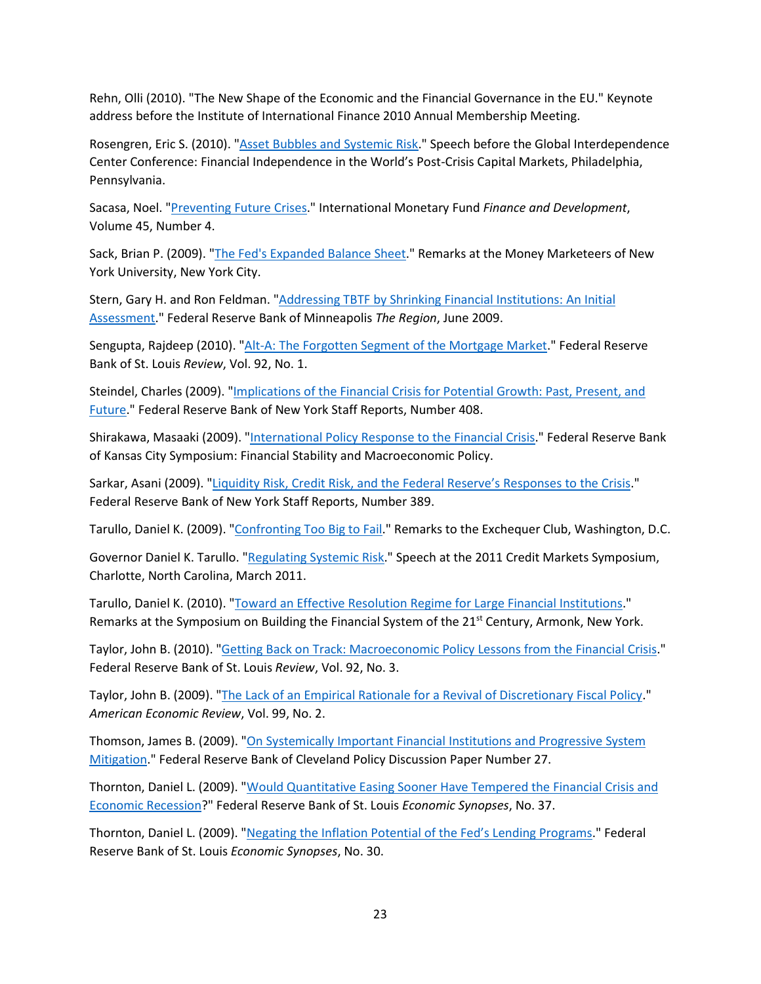Rehn, Olli (2010). "The New Shape of the Economic and the Financial Governance in the EU." Keynote address before the Institute of International Finance 2010 Annual Membership Meeting.

Rosengren, Eric S. (2010). ["Asset Bubbles and Systemic Risk.](https://www.bostonfed.org/news-and-events/speeches/asset-bubbles-and-systemic-risk.aspx)" Speech before the Global Interdependence Center Conference: Financial Independence in the World's Post-Crisis Capital Markets, Philadelphia, Pennsylvania.

Sacasa, Noel. ["Preventing Future Crises.](https://www.imf.org/external/pubs/ft/fandd/2008/12/sacasa.htm)" International Monetary Fund *Finance and Development*, Volume 45, Number 4.

Sack, Brian P. (2009). ["The Fed's Expanded Balance Sheet.](https://www.newyorkfed.org/newsevents/speeches/2009/sac091202.html)" Remarks at the Money Marketeers of New York University, New York City.

Stern, Gary H. and Ron Feldman. ["Addressing TBTF by Shrinking Financial Institutions: An Initial](https://www.minneapolisfed.org/article/2009/addressing-tbtf-by-shrinking-institutions-an-initial-assessment)  [Assessment.](https://www.minneapolisfed.org/article/2009/addressing-tbtf-by-shrinking-institutions-an-initial-assessment)" Federal Reserve Bank of Minneapolis *The Region*, June 2009.

Sengupta, Rajdeep (2010). ["Alt-A: The Forgotten Segment of the Mortgage Market.](https://research.stlouisfed.org/publications/review/2010/01/04/alt-a-the-forgotten-segment-of-the-mortgage-market)" Federal Reserve Bank of St. Louis *Review*, Vol. 92, No. 1.

Steindel, Charles (2009). ["Implications of the Financial Crisis for Potential Growth: Past, Present, and](https://www.newyorkfed.org/research/staff_reports/sr408.html)  [Future.](https://www.newyorkfed.org/research/staff_reports/sr408.html)" Federal Reserve Bank of New York Staff Reports, Number 408.

Shirakawa, Masaaki (2009). ["International Policy Response to the Financial Crisis.](https://www.kansascityfed.org/documents/3152/papers-Shirakawa082409.pdf)" Federal Reserve Bank of Kansas City Symposium: Financial Stability and Macroeconomic Policy.

Sarkar, Asani (2009). ["Liquidity Risk, Credit Risk, and the Federal Reserve's Responses to the Crisis.](https://www.newyorkfed.org/medialibrary/media/research/staff_reports/sr389.pdf)" Federal Reserve Bank of New York Staff Reports, Number 389.

Tarullo, Daniel K. (2009). ["Confronting Too Big to Fail.](https://fraser.stlouisfed.org/title/statements-speeches-daniel-k-tarullo-910/confronting-big-fail-35352)" Remarks to the Exchequer Club, Washington, D.C.

Governor Daniel K. Tarullo. ["Regulating Systemic Risk.](https://fraser.stlouisfed.org/title/statements-speeches-daniel-k-tarullo-910/regulating-systemic-risk-35358)" Speech at the 2011 Credit Markets Symposium, Charlotte, North Carolina, March 2011.

Tarullo, Daniel K. (2010). ["Toward an Effective Resolution Regime for Large Financial Institutions.](https://fraser.stlouisfed.org/title/statements-speeches-daniel-k-tarullo-910/toward-effective-resolution-regime-large-financial-institutions-35374)" Remarks at the Symposium on Building the Financial System of the 21<sup>st</sup> Century, Armonk, New York.

Taylor, John B. (2010). ["Getting Back on Track: Macroeconomic Policy Lessons from the Financial Crisis.](https://research.stlouisfed.org/publications/review/2010/05/03/getting-back-on-track-macroeconomic-policy-lessons-from-the-financial-crisis)" Federal Reserve Bank of St. Louis *Review*, Vol. 92, No. 3.

Taylor, John B. (2009). ["The Lack of an Empirical Rationale for a Revival of Discretionary Fiscal Policy.](https://www.aeaweb.org/articles?id=10.1257/aer.99.2.550)" *American Economic Review*, Vol. 99, No. 2.

Thomson, James B. (2009). ["On Systemically Important Financial Institutions and Progressive System](https://www.clevelandfed.org/en/newsroom-and-events/publications/discontinued-publications/policy-discussion-papers/pdp-0927-on-systemically-important-financial-institutions.aspx)  [Mitigation.](https://www.clevelandfed.org/en/newsroom-and-events/publications/discontinued-publications/policy-discussion-papers/pdp-0927-on-systemically-important-financial-institutions.aspx)" Federal Reserve Bank of Cleveland Policy Discussion Paper Number 27.

Thornton, Daniel L. (2009). ["Would Quantitative Easing Sooner Have Tempered the Financial Crisis and](https://research.stlouisfed.org/publications/economic-synopses/2009/08/17/would-quantitative-easing-sooner-have-tempered-the-financial-crisis-and-economic-recession)  [Economic Recession?](https://research.stlouisfed.org/publications/economic-synopses/2009/08/17/would-quantitative-easing-sooner-have-tempered-the-financial-crisis-and-economic-recession)" Federal Reserve Bank of St. Louis *Economic Synopses*, No. 37.

Thornton, Daniel L. (2009). ["Negating the Inflation Potential of the Fed's Lending Programs.](https://research.stlouisfed.org/publications/economic-synopses/2009/07/01/negating-the-inflation-potential-of-the-feds-lending-programs)" Federal Reserve Bank of St. Louis *Economic Synopses*, No. 30.